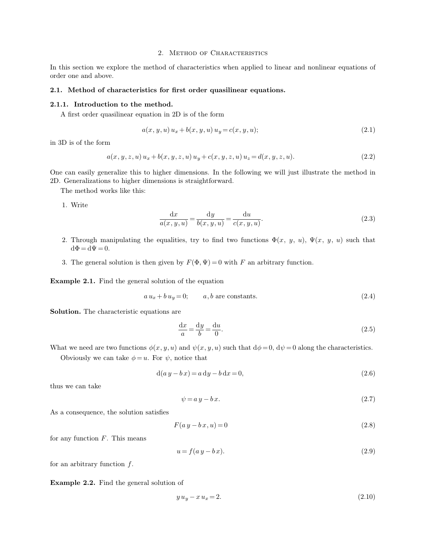## 2. Method of Characteristics

In this section we explore the method of characteristics when applied to linear and nonlinear equations of order one and above.

# **2.1. Method of characteristics for first order quasilinear equations.**

#### **2.1.1. Introduction to the method.**

A first order quasilinear equation in 2D is of the form

$$
a(x, y, u) u_x + b(x, y, u) u_y = c(x, y, u); \tag{2.1}
$$

in 3D is of the form

$$
a(x, y, z, u) u_x + b(x, y, z, u) u_y + c(x, y, z, u) u_z = d(x, y, z, u).
$$
\n(2.2)

One can easily generalize this to higher dimensions. In the following we will just illustrate the method in 2D. Generalizations to higher dimensions is straightforward.

The method works like this:

1. Write

$$
\frac{\mathrm{d}x}{a(x,y,u)} = \frac{\mathrm{d}y}{b(x,y,u)} = \frac{\mathrm{d}u}{c(x,y,u)}.\tag{2.3}
$$

- 2. Through manipulating the equalities, try to find two functions  $\Phi(x, y, u)$ ,  $\Psi(x, y, u)$  such that  $d\Phi = d\Psi = 0.$
- 3. The general solution is then given by  $F(\Phi, \Psi) = 0$  with F an arbitrary function.

**Example 2.1.** Find the general solution of the equation

$$
a u_x + b u_y = 0; \t a, b \text{ are constants.} \t (2.4)
$$

**Solution.** The characteristic equations are

$$
\frac{\mathrm{d}x}{a} = \frac{\mathrm{d}y}{b} = \frac{\mathrm{d}u}{0}.\tag{2.5}
$$

What we need are two functions  $\phi(x, y, u)$  and  $\psi(x, y, u)$  such that  $d\phi = 0$ ,  $d\psi = 0$  along the characteristics.

Obviously we can take  $\phi = u$ . For  $\psi$ , notice that

$$
d(a y - b x) = a dy - b dx = 0,
$$
\n
$$
(2.6)
$$

thus we can take

$$
\psi = a y - b x. \tag{2.7}
$$

As a consequence, the solution satisfies

$$
F(a y - b x, u) = 0 \tag{2.8}
$$

for any function  $F$ . This means

$$
u = f(a y - b x). \tag{2.9}
$$

for an arbitrary function  $f$ .

**Example 2.2.** Find the general solution of

$$
y u_y - x u_x = 2. \t\t(2.10)
$$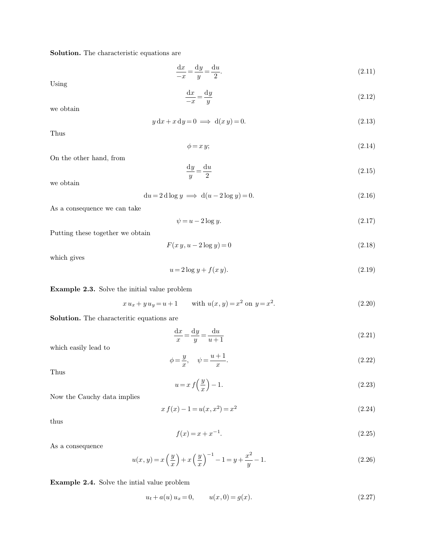**Solution.** The characteristic equations are

$$
\frac{\mathrm{d}x}{-x} = \frac{\mathrm{d}y}{y} = \frac{\mathrm{d}u}{2}.\tag{2.11}
$$

Using

$$
\frac{\mathrm{d}x}{-x} = \frac{\mathrm{d}y}{y} \tag{2.12}
$$

we obtain

$$
y dx + x dy = 0 \implies d(x y) = 0. \tag{2.13}
$$

Thus

$$
\phi = x \, y; \tag{2.14}
$$

On the other hand, from

$$
\frac{\mathrm{d}y}{y} = \frac{\mathrm{d}u}{2} \tag{2.15}
$$

we obtain

$$
du = 2 d \log y \implies d(u - 2 \log y) = 0. \tag{2.16}
$$

As a consequence we can take

$$
\psi = u - 2\log y. \tag{2.17}
$$

Putting these together we obtain

$$
F(x y, u - 2 \log y) = 0 \tag{2.18}
$$

which gives

$$
u = 2\log y + f(xy). \tag{2.19}
$$

**Example 2.3.** Solve the initial value problem

$$
x u_x + y u_y = u + 1 \qquad \text{with } u(x, y) = x^2 \text{ on } y = x^2. \tag{2.20}
$$

**Solution.** The characteritic equations are

$$
\frac{\mathrm{d}x}{x} = \frac{\mathrm{d}y}{y} = \frac{\mathrm{d}u}{u+1} \tag{2.21}
$$

which easily lead to

$$
\phi = \frac{y}{x}, \quad \psi = \frac{u+1}{x}.\tag{2.22}
$$

Thus

$$
u = x f\left(\frac{y}{x}\right) - 1. \tag{2.23}
$$

Now the Cauchy data implies

$$
x f(x) - 1 = u(x, x^2) = x^2
$$
\n(2.24)

thus

$$
f(x) = x + x^{-1}.
$$
\n(2.25)

As a consequence

$$
u(x,y) = x\left(\frac{y}{x}\right) + x\left(\frac{y}{x}\right)^{-1} - 1 = y + \frac{x^2}{y} - 1.
$$
\n(2.26)

**Example 2.4.** Solve the intial value problem

$$
u_t + a(u) u_x = 0, \t u(x, 0) = g(x). \t(2.27)
$$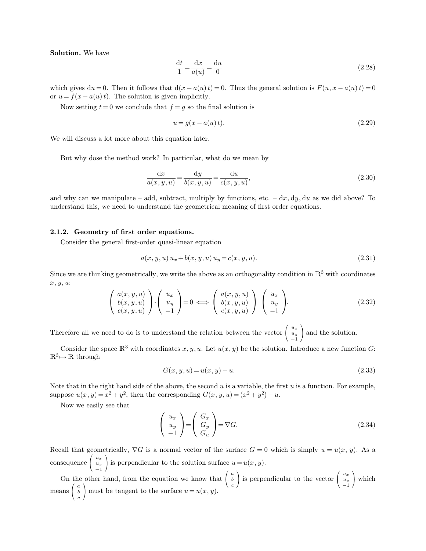**Solution.** We have

$$
\frac{\mathrm{d}t}{1} = \frac{\mathrm{d}x}{a(u)} = \frac{\mathrm{d}u}{0} \tag{2.28}
$$

which gives du = 0. Then it follows that  $d(x - a(u)t) = 0$ . Thus the general solution is  $F(u, x - a(u)t) = 0$ or  $u = f(x - a(u)t)$ . The solution is given implicitly.

Now setting  $t = 0$  we conclude that  $f = g$  so the final solution is

$$
u = g(x - a(u)t).
$$
 (2.29)

We will discuss a lot more about this equation later.

But why dose the method work? In particular, what do we mean by

$$
\frac{dx}{a(x, y, u)} = \frac{dy}{b(x, y, u)} = \frac{du}{c(x, y, u)},
$$
\n(2.30)

and why can we manipulate – add, subtract, multiply by functions, etc.  $- dx$ , dy, du as we did above? To understand this, we need to understand the geometrical meaning of first order equations.

### **2.1.2. Geometry of first order equations.**

Consider the general first-order quasi-linear equation

$$
a(x, y, u) u_x + b(x, y, u) u_y = c(x, y, u).
$$
\n(2.31)

Since we are thinking geometrically, we write the above as an orthogonality condition in  $\mathbb{R}^3$  with coordinates x, y, u:

$$
\begin{pmatrix} a(x,y,u) \\ b(x,y,u) \\ c(x,y,u) \end{pmatrix} \cdot \begin{pmatrix} u_x \\ u_y \\ -1 \end{pmatrix} = 0 \iff \begin{pmatrix} a(x,y,u) \\ b(x,y,u) \\ c(x,y,u) \end{pmatrix} \perp \begin{pmatrix} u_x \\ u_y \\ -1 \end{pmatrix}.
$$
 (2.32)

Therefore all we need to do is to understand the relation between the vector  $\Big($  $\overline{1}$  $u_x$  $\begin{array}{c} u_y \\ -1 \end{array}$ and the solution.

Consider the space  $\mathbb{R}^3$  with coordinates  $x, y, u$ . Let  $u(x, y)$  be the solution. Introduce a new function G:  $\mathbb{R}^3 \mapsto \mathbb{R}$  through

$$
G(x, y, u) = u(x, y) - u.
$$
\n(2.33)

Note that in the right hand side of the above, the second  $u$  is a variable, the first  $u$  is a function. For example, suppose  $u(x, y) = x^2 + y^2$ , then the corresponding  $G(x, y, u) = (x^2 + y^2) - u$ .

Now we easily see that

$$
\begin{pmatrix} u_x \\ u_y \\ -1 \end{pmatrix} = \begin{pmatrix} G_x \\ G_y \\ G_u \end{pmatrix} = \nabla G.
$$
\n(2.34)

Recall that geometrically,  $\nabla G$  is a normal vector of the surface  $G = 0$  which is simply  $u = u(x, y)$ . As a consequence  $\mathcal{L}$  $u_x$  $u_y$ −1 is perpendicular to the solution surface  $u = u(x, y)$ .

On the other hand, from the equation we know that  $\left( \right)$  $\overline{1}$ a b c is perpendicular to the vector  $\left( \right)$  $\mathcal{L}$  $u_x$  $u_y$ <br>-1  $\Big)$  which  $_{\rm{means}}$  (  $\mathcal{L}$ a b c must be tangent to the surface  $u = u(x, y)$ .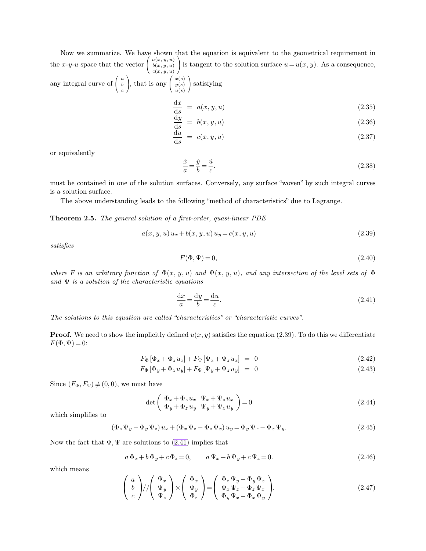Now we summarize. We have shown that the equation is equivalent to the geometrical requirement in the x-y-u space that the vector  $\Big($  $\overline{1}$  $a(x, y, u)$  $b(x, y, u)$  $c(x, y, u)$ is tangent to the solution surface  $u=u(x, y)$ . As a consequence, any integral curve of  $\Big($  $\overline{1}$ a b ), that is any  $\left( \right.$  $\mathcal{L}$  $x(s)$  $y(s)$ satisfying

<span id="page-3-3"></span><span id="page-3-2"></span><span id="page-3-1"></span><span id="page-3-0"></span> $u(s)$ 

$$
\frac{\mathrm{d}x}{\mathrm{d}s} = a(x, y, u) \tag{2.35}
$$

$$
\frac{\mathrm{d}y}{\mathrm{d}s} = b(x, y, u) \tag{2.36}
$$

$$
\frac{\mathrm{d}u}{\mathrm{d}s} = c(x, y, u) \tag{2.37}
$$

or equivalently

$$
\frac{\dot{x}}{a} = \frac{\dot{y}}{b} = \frac{\dot{u}}{c}.\tag{2.38}
$$

must be contained in one of the solution surfaces. Conversely, any surface "woven" by such integral curves is a solution surface.

The above understanding leads to the following "method of characteristics" due to Lagrange.

**Theorem 2.5.** *The general solution of a first-order, quasi-linear PDE*

c

$$
a(x, y, u) u_x + b(x, y, u) u_y = c(x, y, u)
$$
\n(2.39)

*satisfies*

$$
F(\Phi, \Psi) = 0,\tag{2.40}
$$

*where* F *is an arbitrary function of*  $\Phi(x, y, u)$  *and*  $\Psi(x, y, u)$ *, and any intersection of the level sets of*  $\Phi$ *and* Ψ *is a solution of the characteristic equations*

$$
\frac{\mathrm{d}x}{a} = \frac{\mathrm{d}y}{b} = \frac{\mathrm{d}u}{c}.\tag{2.41}
$$

*The solutions to this equation are called "characteristics" or "characteristic curves".*

**Proof.** We need to show the implicitly defined  $u(x, y)$  satisfies the equation [\(2.39\)](#page-3-0). To do this we differentiate  $F(\Phi, \Psi) = 0$ :

$$
F_{\Phi}[\Phi_x + \Phi_z u_x] + F_{\Psi}[\Psi_x + \Psi_z u_x] = 0 \qquad (2.42)
$$

$$
F_{\Phi}[\Phi_y + \Phi_z u_y] + F_{\Psi}[\Psi_y + \Psi_z u_y] = 0 \qquad (2.43)
$$

Since  $(F_{\Phi}, F_{\Psi}) \neq (0, 0)$ , we must have

$$
\det\left(\begin{array}{cc}\Phi_x + \Phi_z u_x & \Psi_x + \Psi_z u_x\\ \Phi_y + \Phi_z u_y & \Psi_y + \Psi_z u_y\end{array}\right) = 0
$$
\n(2.44)

which simplifies to

$$
\left(\Phi_z\Psi_y - \Phi_y\Psi_z\right)u_x + \left(\Phi_x\Psi_z - \Phi_z\Psi_x\right)u_y = \Phi_y\Psi_x - \Phi_x\Psi_y.
$$
\n(2.45)

Now the fact that  $\Phi, \Psi$  are solutions to [\(2.41\)](#page-3-1) implies that

$$
a\,\Phi_x + b\,\Phi_y + c\,\Phi_z = 0, \qquad a\,\Psi_x + b\,\Psi_y + c\,\Psi_z = 0.
$$
\n
$$
(2.46)
$$

which means

$$
\begin{pmatrix} a \\ b \\ c \end{pmatrix} / / \begin{pmatrix} \Psi_x \\ \Psi_y \\ \Psi_z \end{pmatrix} \times \begin{pmatrix} \Phi_x \\ \Phi_y \\ \Phi_z \end{pmatrix} = \begin{pmatrix} \Phi_z \Psi_y - \Phi_y \Psi_z \\ \Phi_x \Psi_z - \Phi_z \Psi_x \\ \Phi_y \Psi_x - \Phi_x \Psi_y \end{pmatrix} . \tag{2.47}
$$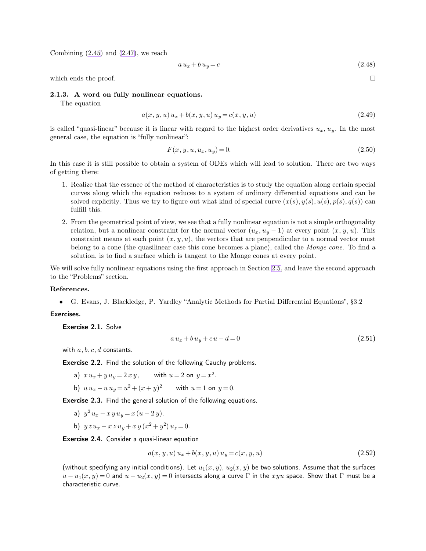Combining  $(2.45)$  and  $(2.47)$ , we reach

$$
a u_x + b u_y = c \tag{2.48}
$$

which ends the proof.  $\Box$ 

## **2.1.3. A word on fully nonlinear equations.**

The equation

$$
a(x, y, u) u_x + b(x, y, u) u_y = c(x, y, u)
$$
\n(2.49)

is called "quasi-linear" because it is linear with regard to the highest order derivatives  $u_x, u_y$ . In the most general case, the equation is "fully nonlinear":

$$
F(x, y, u, u_x, u_y) = 0.
$$
\n(2.50)

In this case it is still possible to obtain a system of ODEs which will lead to solution. There are two ways of getting there:

- 1. Realize that the essence of the method of characteristics is to study the equation along certain special curves along which the equation reduces to a system of ordinary differential equations and can be solved explicitly. Thus we try to figure out what kind of special curve  $(x(s), y(s), u(s), p(s), q(s))$  can fulfill this.
- 2. From the geometrical point of view, we see that a fully nonlinear equation is not a simple orthogonality relation, but a nonlinear constraint for the normal vector  $(u_x, u_y - 1)$  at every point  $(x, y, u)$ . This constraint means at each point  $(x, y, u)$ , the vectors that are penpendicular to a normal vector must belong to a cone (the quasilinear case this cone becomes a plane), called the *Monge cone*. To find a solution, is to find a surface which is tangent to the Monge cones at every point.

We will solve fully nonlinear equations using the first approach in Section [2.5,](#page-18-0) and leave the second approach to the "Problems" section.

# **References.**

• G. Evans, J. Blackledge, P. Yardley "Analytic Methods for Partial Differential Equations", §3.2

# Exercises.

Exercise 2.1. Solve

$$
a u_x + b u_y + c u - d = 0 \tag{2.51}
$$

with  $a, b, c, d$  constants.

Exercise 2.2. Find the solution of the following Cauchy problems.

a)  $x u_x + y u_y = 2 x y$ , with  $u = 2$  on  $y = x^2$ . b)  $u u_x - u u_y = u^2 + (x + y)^2$  with  $u = 1$  on  $y = 0$ .

Exercise 2.3. Find the general solution of the following equations.

- a)  $y^2 u_x x y u_y = x (u 2 y).$
- b)  $y z u_x x z u_y + x y (x^2 + y^2) u_z = 0.$

Exercise 2.4. Consider a quasi-linear equation

$$
a(x, y, u) u_x + b(x, y, u) u_y = c(x, y, u)
$$
\n(2.52)

(without specifying any initial conditions). Let  $u_1(x, y)$ ,  $u_2(x, y)$  be two solutions. Assume that the surfaces  $u - u_1(x, y) = 0$  and  $u - u_2(x, y) = 0$  intersects along a curve Γ in the xyu space. Show that Γ must be a characteristic curve.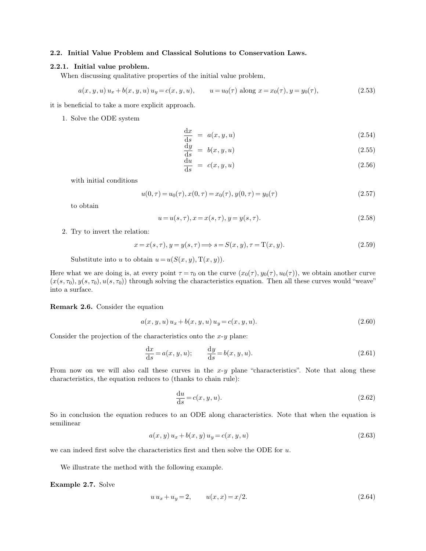# **2.2. Initial Value Problem and Classical Solutions to Conservation Laws.**

### **2.2.1. Initial value problem.**

When discussing qualitative properties of the initial value problem,

$$
a(x, y, u) u_x + b(x, y, u) u_y = c(x, y, u), \qquad u = u_0(\tau) \text{ along } x = x_0(\tau), y = y_0(\tau), \tag{2.53}
$$

it is beneficial to take a more explicit approach.

1. Solve the ODE system

$$
\frac{\mathrm{d}x}{\mathrm{d}s} = a(x, y, u) \tag{2.54}
$$

$$
\frac{\mathrm{d}y}{\mathrm{d}s} = b(x, y, u) \tag{2.55}
$$

$$
\frac{\mathrm{d}u}{\mathrm{d}s} = c(x, y, u) \tag{2.56}
$$

with initial conditions

$$
u(0, \tau) = u_0(\tau), x(0, \tau) = x_0(\tau), y(0, \tau) = y_0(\tau)
$$
\n(2.57)

to obtain

$$
u = u(s, \tau), x = x(s, \tau), y = y(s, \tau). \tag{2.58}
$$

2. Try to invert the relation:

$$
x = x(s, \tau), y = y(s, \tau) \Longrightarrow s = S(x, y), \tau = T(x, y). \tag{2.59}
$$

Substitute into u to obtain  $u = u(S(x, y), T(x, y)).$ 

Here what we are doing is, at every point  $\tau = \tau_0$  on the curve  $(x_0(\tau), y_0(\tau), u_0(\tau))$ , we obtain another curve  $(x(s, \tau_0), y(s, \tau_0), u(s, \tau_0))$  through solving the characteristics equation. Then all these curves would "weave" into a surface.

**Remark 2.6.** Consider the equation

$$
a(x, y, u) u_x + b(x, y, u) u_y = c(x, y, u).
$$
\n(2.60)

Consider the projection of the characteristics onto the  $x-y$  plane:

$$
\frac{\mathrm{d}x}{\mathrm{d}s} = a(x, y, u); \qquad \frac{\mathrm{d}y}{\mathrm{d}s} = b(x, y, u). \tag{2.61}
$$

From now on we will also call these curves in the  $x-y$  plane "characteristics". Note that along these characteristics, the equation reduces to (thanks to chain rule):

$$
\frac{\mathrm{d}u}{\mathrm{d}s} = c(x, y, u). \tag{2.62}
$$

So in conclusion the equation reduces to an ODE along characteristics. Note that when the equation is semilinear

$$
a(x, y) u_x + b(x, y) u_y = c(x, y, u)
$$
\n(2.63)

we can indeed first solve the characteristics first and then solve the ODE for  $u$ .

We illustrate the method with the following example.

**Example 2.7.** Solve

$$
u u_x + u_y = 2, \t u(x, x) = x/2.
$$
\t(2.64)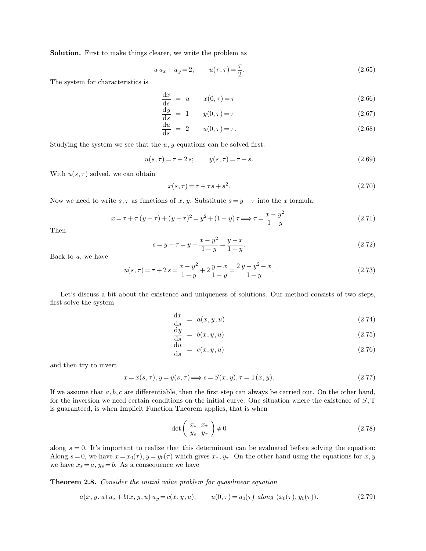<span id="page-6-0"></span>**Solution.** First to make things clearer, we write the problem as

$$
u u_x + u_y = 2,
$$
  $u(\tau, \tau) = \frac{\tau}{2}.$  (2.65)

The system for characteristics is

$$
\frac{\mathrm{d}x}{\mathrm{d}s} = u \qquad x(0,\tau) = \tau \tag{2.66}
$$

$$
\frac{\mathrm{d}y}{\mathrm{d}s} = 1 \qquad y(0,\tau) = \tau \tag{2.67}
$$

$$
\frac{\mathrm{d}u}{\mathrm{d}s} = 2 \qquad u(0,\tau) = \tau. \tag{2.68}
$$

Studying the system we see that the  $u, y$  equations can be solved first:

$$
u(s,\tau) = \tau + 2s; \qquad y(s,\tau) = \tau + s. \tag{2.69}
$$

With  $u(s, \tau)$  solved, we can obtain

$$
x(s,\tau) = \tau + \tau s + s^2. \tag{2.70}
$$

Now we need to write  $s, \tau$  as functions of x, y. Substitute  $s = y - \tau$  into the x formula:

$$
x = \tau + \tau (y - \tau) + (y - \tau)^2 = y^2 + (1 - y)\tau \Longrightarrow \tau = \frac{x - y^2}{1 - y}.
$$
 (2.71)

Then

$$
s = y - \tau = y - \frac{x - y^2}{1 - y} = \frac{y - x}{1 - y}.\tag{2.72}
$$

Back to  $u$ , we have

$$
u(s,\tau) = \tau + 2s = \frac{x - y^2}{1 - y} + 2\frac{y - x}{1 - y} = \frac{2y - y^2 - x}{1 - y}.
$$
\n(2.73)

Let's discuss a bit about the existence and uniqueness of solutions. Our method consists of two steps, first solve the system

$$
\frac{\mathrm{d}x}{\mathrm{d}s} = a(x, y, u) \tag{2.74}
$$

$$
\frac{\mathrm{d}y}{\mathrm{d}s} = b(x, y, u) \tag{2.75}
$$

$$
\frac{\mathrm{d}u}{\mathrm{d}s} = c(x, y, u) \tag{2.76}
$$

and then try to invert

$$
x = x(s, \tau), y = y(s, \tau) \Longrightarrow s = S(x, y), \tau = T(x, y). \tag{2.77}
$$

If we assume that  $a, b, c$  are differentiable, then the first step can always be carried out. On the other hand, for the inversion we need certain conditions on the initial curve. One situation where the existence of  $S$ , T is guaranteed, is when Implicit Function Theorem applies, that is when

$$
\det\left(\begin{array}{cc} x_s & x_\tau \\ y_s & y_\tau \end{array}\right) \neq 0 \tag{2.78}
$$

along  $s = 0$ . It's important to realize that this determinant can be evaluated before solving the equation: Along  $s = 0$ , we have  $x = x_0(\tau)$ ,  $y = y_0(\tau)$  which gives  $x_\tau, y_\tau$ . On the other hand using the equations for x, y we have  $x_s = a, y_s = b$ . As a consequence we have

**Theorem 2.8.** *Consider the initial value problem for quasilinear equation*

$$
a(x, y, u) u_x + b(x, y, u) u_y = c(x, y, u), \t u(0, \tau) = u_0(\tau) \text{ along } (x_0(\tau), y_0(\tau)). \t (2.79)
$$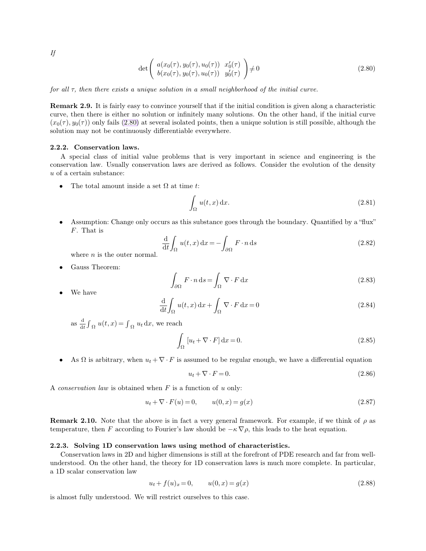*If*

$$
\det \left( \begin{array}{c} a(x_0(\tau), y_0(\tau), u_0(\tau)) & x'_0(\tau) \\ b(x_0(\tau), y_0(\tau), u_0(\tau)) & y'_0(\tau) \end{array} \right) \neq 0 \tag{2.80}
$$

*for all* τ*, then there exists a unique solution in a small neighborhood of the initial curve.*

**Remark 2.9.** It is fairly easy to convince yourself that if the initial condition is given along a characteristic curve, then there is either no solution or infinitely many solutions. On the other hand, if the initial curve  $(x_0(\tau), y_0(\tau))$  only fails [\(2.80\)](#page-7-0) at several isolated points, then a unique solution is still possible, although the solution may not be continuously differentiable everywhere.

### **2.2.2. Conservation laws.**

A special class of initial value problems that is very important in science and engineering is the conservation law. Usually conservation laws are derived as follows. Consider the evolution of the density u of a certain substance:

• The total amount inside a set  $\Omega$  at time t:

$$
\int_{\Omega} u(t, x) \, \mathrm{d}x. \tag{2.81}
$$

• Assumption: Change only occurs as this substance goes through the boundary. Quantified by a "flux" F. That is

$$
\frac{\mathrm{d}}{\mathrm{d}t} \int_{\Omega} u(t, x) \, \mathrm{d}x = - \int_{\partial \Omega} F \cdot n \, \mathrm{d}s \tag{2.82}
$$

where  $n$  is the outer normal.

• Gauss Theorem:

$$
\int_{\partial\Omega} F \cdot n \, \mathrm{d}s = \int_{\Omega} \nabla \cdot F \, \mathrm{d}x \tag{2.83}
$$

• We have

$$
\frac{\mathrm{d}}{\mathrm{d}t} \int_{\Omega} u(t, x) \, \mathrm{d}x + \int_{\Omega} \nabla \cdot F \, \mathrm{d}x = 0 \tag{2.84}
$$

as  $\frac{d}{dt}$  $\frac{d}{dt} \int_{\Omega} u(t, x) = \int_{\Omega} u_t dx$ , we reach

$$
\int_{\Omega} [u_t + \nabla \cdot F] dx = 0.
$$
\n(2.85)

• As  $\Omega$  is arbitrary, when  $u_t + \nabla \cdot F$  is assumed to be regular enough, we have a differential equation

<span id="page-7-0"></span>
$$
u_t + \nabla \cdot F = 0. \tag{2.86}
$$

A *conservation law* is obtained when F is a function of u only:

$$
u_t + \nabla \cdot F(u) = 0, \qquad u(0, x) = g(x)
$$
\n(2.87)

**Remark 2.10.** Note that the above is in fact a very general framework. For example, if we think of  $\rho$  as temperature, then F according to Fourier's law should be  $-\kappa \nabla \rho$ , this leads to the heat equation.

#### **2.2.3. Solving 1D conservation laws using method of characteristics.**

Conservation laws in 2D and higher dimensions is still at the forefront of PDE research and far from wellunderstood. On the other hand, the theory for 1D conservation laws is much more complete. In particular, a 1D scalar conservation law

$$
u_t + f(u)_x = 0, \t u(0, x) = g(x) \t (2.88)
$$

is almost fully understood. We will restrict ourselves to this case.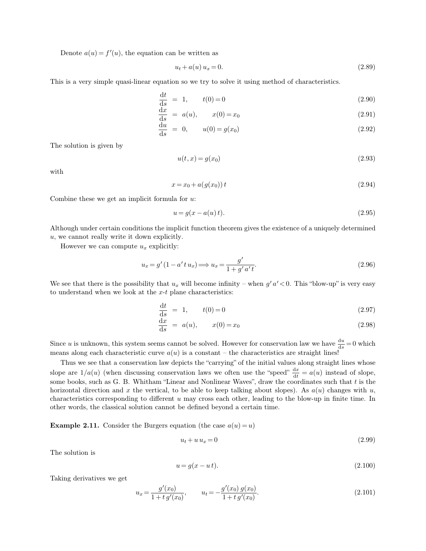Denote  $a(u) = f'(u)$ , the equation can be written as

$$
u_t + a(u) u_x = 0. \t\t(2.89)
$$

This is a very simple quasi-linear equation so we try to solve it using method of characteristics.

$$
\frac{dt}{ds} = 1, \t t(0) = 0 \t (2.90)
$$

$$
\frac{\mathrm{d}x}{\mathrm{d}s} = a(u), \qquad x(0) = x_0 \tag{2.91}
$$

$$
\frac{du}{ds} = 0, \t u(0) = g(x_0)
$$
\t(2.92)

The solution is given by

$$
u(t,x) = g(x_0) \tag{2.93}
$$

with

$$
x = x_0 + a(g(x_0)) t \tag{2.94}
$$

Combine these we get an implicit formula for  $u$ :

$$
u = g(x - a(u)t).
$$
 (2.95)

Although under certain conditions the implicit function theorem gives the existence of a uniquely determined u, we cannot really write it down explicitly.

However we can compute  $u_x$  explicitly:

$$
u_x = g'(1 - a'tu_x) \Longrightarrow u_x = \frac{g'}{1 + g'a't}.
$$
\n(2.96)

We see that there is the possibility that  $u_x$  will become infinity – when  $g' a' < 0$ . This "blow-up" is very easy to understand when we look at the  $x-t$  plane characteristics:

$$
\frac{dt}{ds} = 1, \t t(0) = 0 \t (2.97)
$$

$$
\frac{\mathrm{d}x}{\mathrm{d}s} = a(u), \qquad x(0) = x_0 \tag{2.98}
$$

Since *u* is unknown, this system seems cannot be solved. However for conservation law we have  $\frac{du}{ds} = 0$  which means along each characteristic curve  $a(u)$  is a constant – the characteristics are straight lines!

Thus we see that a conservation law depicts the "carrying" of the initial values along straight lines whose slope are  $1/a(u)$  (when discussing conservation laws we often use the "speed"  $\frac{dx}{dt} = a(u)$  instead of slope, some books, such as G. B. Whitham "Linear and Nonlinear Waves", draw the coordinates such that  $t$  is the horizontal direction and x the vertical, to be able to keep talking about slopes). As  $a(u)$  changes with u, characteristics corresponding to different u may cross each other, leading to the blow-up in finite time. In other words, the classical solution cannot be defined beyond a certain time.

**Example 2.11.** Consider the Burgers equation (the case  $a(u) = u$ )

$$
u_t + u u_x = 0 \tag{2.99}
$$

The solution is

$$
u = g(x - u t). \tag{2.100}
$$

Taking derivatives we get

$$
u_x = \frac{g'(x_0)}{1 + t g'(x_0)}, \qquad u_t = -\frac{g'(x_0) g(x_0)}{1 + t g'(x_0)}.
$$
\n(2.101)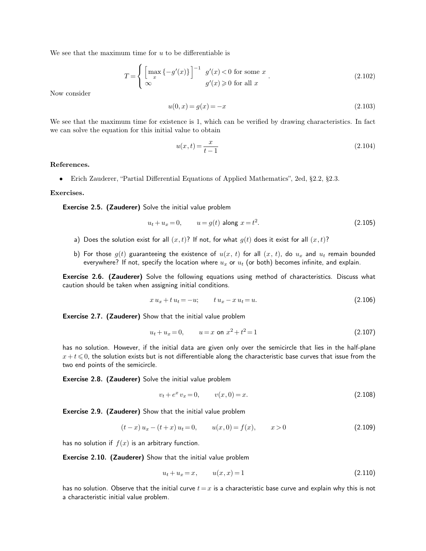We see that the maximum time for  $u$  to be differentiable is

$$
T = \begin{cases} \left[\max_{x} \{-g'(x)\}\right]^{-1} & g'(x) < 0 \text{ for some } x\\ \infty & g'(x) \geq 0 \text{ for all } x \end{cases}.
$$
 (2.102)

Now consider

$$
u(0,x) = g(x) = -x \tag{2.103}
$$

We see that the maximum time for existence is 1, which can be verified by drawing characteristics. In fact we can solve the equation for this initial value to obtain

$$
u(x,t) = \frac{x}{t-1}
$$
\n(2.104)

# **References.**

• Erich Zauderer, "Partial Differential Equations of Applied Mathematics", 2ed, §2.2, §2.3.

# **Exercises.**

Exercise 2.5. (Zauderer) Solve the initial value problem

$$
u_t + u_x = 0, \t u = g(t) \text{ along } x = t^2.
$$
\t(2.105)

- a) Does the solution exist for all  $(x, t)$ ? If not, for what  $g(t)$  does it exist for all  $(x, t)$ ?
- b) For those  $g(t)$  guaranteeing the existence of  $u(x, t)$  for all  $(x, t)$ , do  $u_x$  and  $u_t$  remain bounded everywhere? If not, specify the location where  $u_x$  or  $u_t$  (or both) becomes infinite, and explain.

Exercise 2.6. (Zauderer) Solve the following equations using method of characteristics. Discuss what caution should be taken when assigning initial conditions.

$$
x u_x + t u_t = -u; \t t u_x - x u_t = u.
$$
\n(2.106)

Exercise 2.7. (Zauderer) Show that the initial value problem

$$
u_t + u_x = 0, \qquad u = x \text{ on } x^2 + t^2 = 1 \tag{2.107}
$$

has no solution. However, if the initial data are given only over the semicircle that lies in the half-plane  $x + t \leqslant 0$ , the solution exists but is not differentiable along the characteristic base curves that issue from the two end points of the semicircle.

Exercise 2.8. (Zauderer) Solve the initial value problem

$$
v_t + e^x v_x = 0, \qquad v(x, 0) = x. \tag{2.108}
$$

Exercise 2.9. (Zauderer) Show that the initial value problem

$$
(t-x) u_x - (t+x) u_t = 0, \t u(x,0) = f(x), \t x > 0 \t (2.109)
$$

has no solution if  $f(x)$  is an arbitrary function.

Exercise 2.10. (Zauderer) Show that the initial value problem

$$
u_t + u_x = x, \t u(x, x) = 1 \t (2.110)
$$

has no solution. Observe that the initial curve  $t = x$  is a characteristic base curve and explain why this is not a characteristic initial value problem.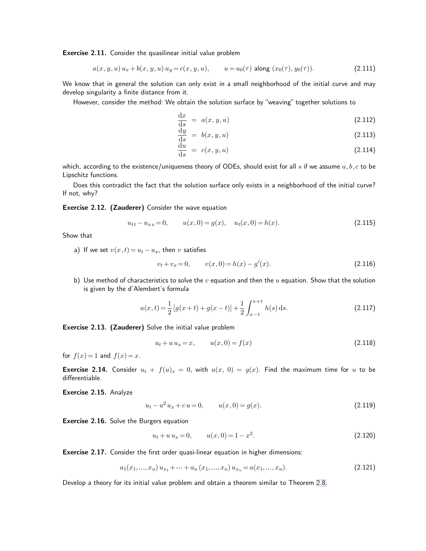Exercise 2.11. Consider the quasilinear initial value problem

$$
a(x, y, u) u_x + b(x, y, u) u_y = c(x, y, u), \qquad u = u_0(\tau) \text{ along } (x_0(\tau), y_0(\tau)). \tag{2.111}
$$

We know that in general the solution can only exist in a small neighborhood of the initial curve and may develop singularity a finite distance from it.

However, consider the method: We obtain the solution surface by "weaving" together solutions to

$$
\frac{\mathrm{d}x}{\mathrm{d}s} = a(x, y, u) \tag{2.112}
$$

$$
\frac{\mathrm{d}y}{\mathrm{d}s} = b(x, y, u) \tag{2.113}
$$

$$
\frac{\mathrm{d}u}{\mathrm{d}s} = c(x, y, u) \tag{2.114}
$$

which, according to the existence/uniqueness theory of ODEs, should exist for all s if we assume  $a,b,c$  to be Lipschitz functions.

Does this contradict the fact that the solution surface only exists in a neighborhood of the initial curve? If not, why?

## Exercise 2.12. (Zauderer) Consider the wave equation

$$
u_{tt} - u_{xx} = 0, \t u(x,0) = g(x), \t u_t(x,0) = h(x). \t (2.115)
$$

Show that

a) If we set  $v(x, t) = u_t - u_x$ , then v satisfies

$$
v_t + v_x = 0, \qquad v(x, 0) = h(x) - g'(x). \tag{2.116}
$$

b) Use method of characteristics to solve the  $v$  equation and then the  $u$  equation. Show that the solution is given by the d'Alembert's formula

$$
u(x,t) = \frac{1}{2} \left[ g(x+t) + g(x-t) \right] + \frac{1}{2} \int_{x-t}^{x+t} h(s) \, ds. \tag{2.117}
$$

Exercise 2.13. (Zauderer) Solve the initial value problem

$$
u_t + u u_x = x, \t u(x, 0) = f(x) \t (2.118)
$$

for  $f(x) = 1$  and  $f(x) = x$ .

**Exercise 2.14.** Consider  $u_t + f(u)_x = 0$ , with  $u(x, 0) = g(x)$ . Find the maximum time for u to be differentiable.

Exercise 2.15. Analyze

$$
u_t - u^2 u_x + c u = 0, \t u(x, 0) = g(x). \t(2.119)
$$

**Exercise 2.16.** Solve the Burgers equation

$$
u_t + u u_x = 0, \qquad u(x, 0) = 1 - x^2. \tag{2.120}
$$

Exercise 2.17. Consider the first order quasi-linear equation in higher dimensions:

$$
a_1(x_1, \ldots, x_n) u_{x_1} + \cdots + a_n(x_1, \ldots, x_n) u_{x_n} = a(x_1, \ldots, x_n). \tag{2.121}
$$

Develop a theory for its initial value problem and obtain a theorem similar to Theorem [2.8.](#page-6-0)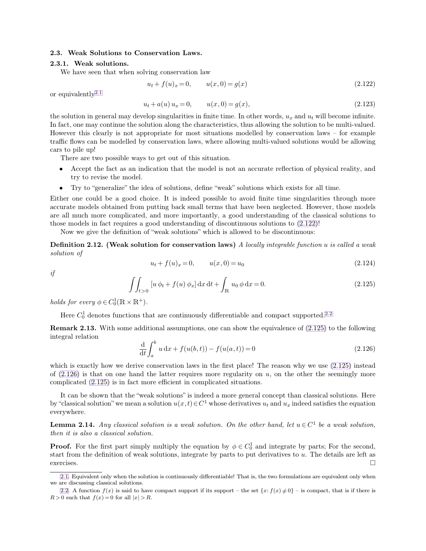# **2.3. Weak Solutions to Conservation Laws.**

#### **2.3.1. Weak solutions.**

We have seen that when solving conservation law

<span id="page-11-4"></span><span id="page-11-2"></span><span id="page-11-1"></span>
$$
u_t + f(u)_x = 0, \t u(x, 0) = g(x) \t (2.122)
$$

or equivalently2.1

<span id="page-11-3"></span>
$$
u_t + a(u) u_x = 0, \t u(x, 0) = g(x), \t (2.123)
$$

the solution in general may develop singularities in finite time. In other words,  $u_x$  and  $u_t$  will become infinite. In fact, one may continue the solution along the characteristics, thus allowing the solution to be multi-valued. However this clearly is not appropriate for most situations modelled by conservation laws – for example traffic flows can be modelled by conservation laws, where allowing multi-valued solutions would be allowing cars to pile up!

There are two possible ways to get out of this situation.

- Accept the fact as an indication that the model is not an accurate reflection of physical reality, and try to revise the model.
- Try to "generalize" the idea of solutions, define "weak" solutions which exists for all time.

Either one could be a good choice. It is indeed possible to avoid finite time singularities through more accurate models obtained from putting back small terms that have been neglected. However, those models are all much more complicated, and more importantly, a good understanding of the classical solutions to those models in fact requires a good understanding of discontinuous solutions to [\(2.122\)](#page-11-0)!

Now we give the definition of "weak solutions" which is allowed to be discontinuous:

**Definition 2.12. (Weak solution for conservation laws)** *A locally integrable function* u *is called a weak solution of*

<span id="page-11-0"></span>
$$
u_t + f(u)_x = 0, \t u(x, 0) = u_0 \t (2.124)
$$

*if*

$$
\iint_{t>0} [u \, \phi_t + f(u) \, \phi_x] \, dx \, dt + \int_{\mathbb{R}} u_0 \, \phi \, dx = 0.
$$
\n(2.125)

*holds for every*  $\phi \in C_0^1(\mathbb{R} \times \mathbb{R}^+).$ 

Here  $C_0^1$  denotes functions that are continuously differentiable and compact supported.<sup>2.2</sup>

**Remark 2.13.** With some additional assumptions, one can show the equivalence of  $(2.125)$  to the following integral relation

$$
\frac{d}{dt} \int_{a}^{b} u \, dx + f(u(b, t)) - f(u(a, t)) = 0 \tag{2.126}
$$

which is exactly how we derive conservation laws in the first place! The reason why we use  $(2.125)$  instead of  $(2.126)$  is that on one hand the latter requires more regularity on u, on the other the seemingly more complicated [\(2.125\)](#page-11-1) is in fact more efficient in complicated situations.

It can be shown that the "weak solutions" is indeed a more general concept than classical solutions. Here by "classical solution" we mean a solution  $u(x,t) \in C^1$  whose derivatives  $u_t$  and  $u_x$  indeed satisfies the equation everywhere.

**Lemma 2.14.** *Any classical solution is a weak solution. On the other hand, let*  $u \in C^1$  *be a weak solution, then it is also a classical solution.*

**Proof.** For the first part simply multiply the equation by  $\phi \in C_0^1$  and integrate by parts; For the second, start from the definition of weak solutions, integrate by parts to put derivatives to u. The details are left as exercises.  $\Box$ 

[<sup>2.1.</sup>](#page-11-3) Equivalent only when the solution is continuously differentiable! That is, the two formulations are equivalent only when we are discussing classical solutions.

[<sup>2.2.</sup>](#page-11-4) A function  $f(x)$  is said to have compact support if its support – the set  $\{x: f(x) \neq 0\}$  – is compact, that is if there is  $R > 0$  such that  $f(x) = 0$  for all  $|x| > R$ .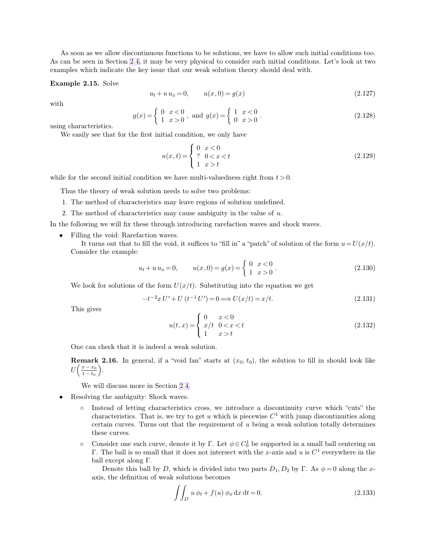As soon as we allow discontinuous functions to be solutions, we have to allow such initial conditions too. As can be seen in Section [2.4,](#page-16-0) it may be very physical to consider such initial conditions. Let's look at two examples which indicate the key issue that our weak solution theory should deal with.

# **Example 2.15.** Solve

$$
u_t + u u_x = 0, \t u(x, 0) = g(x) \t (2.127)
$$

with

$$
g(x) = \begin{cases} 0 & x < 0 \\ 1 & x > 0 \end{cases}
$$
, and  $g(x) = \begin{cases} 1 & x < 0 \\ 0 & x > 0 \end{cases}$ . (2.128)

using characteristics.

We easily see that for the first initial condition, we only have

$$
u(x,t) = \begin{cases} 0 & x < 0 \\ ? & 0 < x < t \\ 1 & x > t \end{cases}
$$
 (2.129)

while for the second initial condition we have multi-valuedness right from  $t > 0$ .

Thus the theory of weak solution needs to solve two problems:

- 1. The method of characteristics may leave regions of solution undefined.
- 2. The method of characteristics may cause ambiguity in the value of  $u$ .

In the following we will fix these through introducing rarefaction waves and shock waves.

• Filling the void: Rarefaction waves.

It turns out that to fill the void, it suffices to "fill in" a "patch" of solution of the form  $u = U(x/t)$ . Consider the example:

$$
u_t + u u_x = 0, \t u(x, 0) = g(x) = \begin{cases} 0 & x < 0 \\ 1 & x > 0 \end{cases}.
$$
\t(2.130)

We look for solutions of the form  $U(x/t)$ . Substituting into the equation we get

$$
-t^{-2}x U' + U(t^{-1}U') = 0 \Longrightarrow U(x/t) = x/t.
$$
\n(2.131)

This gives

$$
u(t,x) = \begin{cases} 0 & x < 0 \\ x/t & 0 < x < t \\ 1 & x > t \end{cases}
$$
 (2.132)

One can check that it is indeed a weak solution.

**Remark 2.16.** In general, if a "void fan" starts at  $(x_0, t_0)$ , the solution to fill in should look like  $U\Big(\frac{x-x_0}{t-t}\Big)$  $\frac{x-x_0}{t-t_0}$ .

We will discuss more in Section [2.4.](#page-16-0)

- Resolving the ambiguity: Shock waves.
	- Instead of letting characteristics cross, we introduce a discontinuity curve which "cuts" the characteristics. That is, we try to get u which is piecewise  $C<sup>1</sup>$  with jump discontinuities along certain curves. Turns out that the requirement of  $u$  being a weak solution totally determines these curves.
	- ο Consider one such curve, denote it by Γ. Let  $φ ∈ C<sup>1</sup><sub>0</sub>$  be supported in a small ball centering on Γ. The ball is so small that it does not intersect with the x-axis and u is  $C^1$  everywhere in the ball except along Γ.

Denote this ball by D, which is divided into two parts  $D_1, D_2$  by  $\Gamma$ . As  $\phi = 0$  along the xaxis, the definition of weak solutions becomes

$$
\iint_D u \, \phi_t + f(u) \, \phi_x \, \mathrm{d}x \, \mathrm{d}t = 0. \tag{2.133}
$$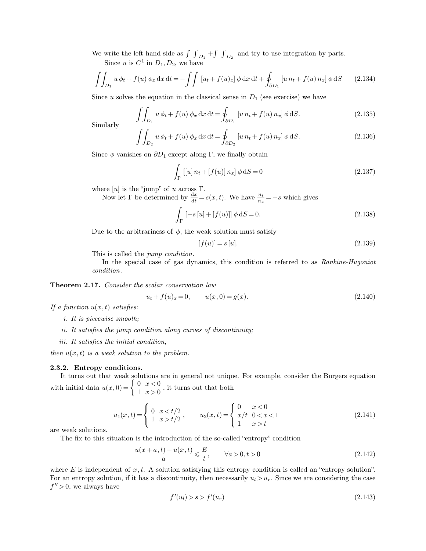We write the left hand side as  $\int \int_{D_1} + \int \int_{D_2}$  and try to use integration by parts.

Since u is  $C^1$  in  $D_1, D_2$ , we have

$$
\iint_{D_1} u \phi_t + f(u) \phi_x \, dx \, dt = -\iint \left[ u_t + f(u)_x \right] \phi \, dx \, dt + \oint_{\partial D_1} \left[ u \, n_t + f(u) \, n_x \right] \phi \, dS \qquad (2.134)
$$

Since u solves the equation in the classical sense in  $D_1$  (see exercise) we have

$$
\iint_{D_1} u \, \phi_t + f(u) \, \phi_x \, dx \, dt = \oint_{\partial D_1} [u \, n_t + f(u) \, n_x] \, \phi \, dS. \tag{2.135}
$$

Similarly

$$
\iint_{D_2} u \phi_t + f(u) \phi_x \, dx \, dt = \oint_{\partial D_2} [u \, n_t + f(u) \, n_x] \phi \, dS. \tag{2.136}
$$

Since  $\phi$  vanishes on  $\partial D_1$  except along Γ, we finally obtain

$$
\int_{\Gamma} [[u] \, n_t + [f(u)] \, n_x] \, \phi \, dS = 0 \tag{2.137}
$$

where  $[u]$  is the "jump" of u across  $\Gamma$ .

Now let  $\Gamma$  be determined by  $\frac{dx}{dt} = s(x, t)$ . We have  $\frac{n_t}{n_x} = -s$  which gives

$$
\int_{\Gamma} [-s[u] + [f(u)]] \phi \, dS = 0.
$$
\n(2.138)

Due to the arbitrariness of  $\phi$ , the weak solution must satisfy

$$
[f(u)] = s[u].
$$
\n(2.139)

This is called the *jump condition*.

In the special case of gas dynamics, this condition is referred to as *Rankine-Hugoniot condition*.

# **Theorem 2.17.** *Consider the scalar conservation law*

$$
u_t + f(u)_x = 0, \t u(x, 0) = g(x). \t(2.140)
$$

*If a function* u(x, t) *satisfies:*

- *i. It is piecewise smooth;*
- *ii. It satisfies the jump condition along curves of discontinuity;*
- *iii. It satisfies the initial condition,*

*then*  $u(x, t)$  *is a weak solution to the problem.* 

# **2.3.2. Entropy conditions.**

It turns out that weak solutions are in general not unique. For example, consider the Burgers equation with initial data  $u(x, 0) = \begin{cases} 0 & x < 0 \\ 1 & x > 0 \end{cases}$  $\begin{cases} 0, & x < 0 \\ 1, & x > 0 \end{cases}$ , it turns out that both

$$
u_1(x,t) = \begin{cases} 0 & x < t/2 \\ 1 & x > t/2 \end{cases}, \qquad u_2(x,t) = \begin{cases} 0 & x < 0 \\ x/t & 0 < x < 1 \\ 1 & x > t \end{cases} \tag{2.141}
$$

are weak solutions.

The fix to this situation is the introduction of the so-called "entropy" condition

$$
\frac{u(x+a,t) - u(x,t)}{a} \leqslant \frac{E}{t}, \qquad \forall a > 0, t > 0 \tag{2.142}
$$

where E is independent of  $x, t$ . A solution satisfying this entropy condition is called an "entropy solution". For an entropy solution, if it has a discontinuity, then necessarily  $u_l > u_r$ . Since we are considering the case  $f'' > 0$ , we always have

$$
f'(u_l) > s > f'(u_r) \tag{2.143}
$$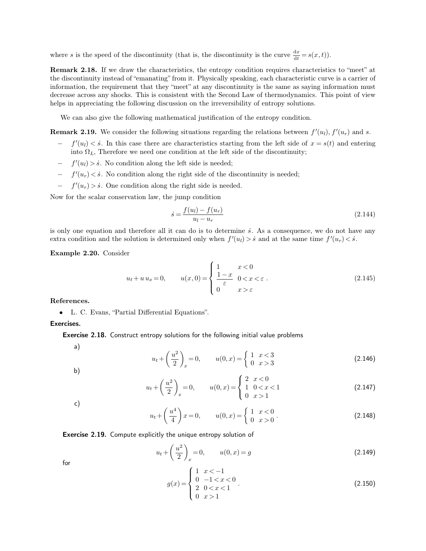where s is the speed of the discontinuity (that is, the discontinuity is the curve  $\frac{dx}{dt} = s(x, t)$ ).

**Remark 2.18.** If we draw the characteristics, the entropy condition requires characteristics to "meet" at the discontinuity instead of "emanating" from it. Physically speaking, each characteristic curve is a carrier of information, the requirement that they "meet" at any discontinuity is the same as saying information must decrease across any shocks. This is consistent with the Second Law of thermodynamics. This point of view helps in appreciating the following discussion on the irreversibility of entropy solutions.

We can also give the following mathematical justification of the entropy condition.

**Remark 2.19.** We consider the following situations regarding the relations between  $f'(u_l)$ ,  $f'(u_r)$  and s.

- $f'(u_l) < s$ . In this case there are characteristics starting from the left side of  $x = s(t)$  and entering into  $\Omega_L$ , Therefore we need one condition at the left side of the discontinuity;
- −  $f'(u_l) > \dot{s}$ . No condition along the left side is needed;
- −  $f'(u_r) < \dot{s}$ . No condition along the right side of the discontinuity is needed;
- −  $f'(u_r) > \dot{s}$ . One condition along the right side is needed.

Now for the scalar conservation law, the jump condition

$$
\dot{s} = \frac{f(u_l) - f(u_r)}{u_l - u_r} \tag{2.144}
$$

is only one equation and therefore all it can do is to determine  $\dot{s}$ . As a consequence, we do not have any extra condition and the solution is determined only when  $f'(u_l) > \dot{s}$  and at the same time  $f'(u_r) < \dot{s}$ .

**Example 2.20.** Consider

$$
u_t + u u_x = 0, \qquad u(x,0) = \begin{cases} 1 & x < 0 \\ \frac{1-x}{\varepsilon} & 0 < x < \varepsilon \\ 0 & x > \varepsilon \end{cases} \tag{2.145}
$$

**References.**

• L. C. Evans, "Partial Differential Equations".

Exercises.

**Exercise 2.18.** Construct entropy solutions for the following initial value problems

a)

$$
u_t + \left(\frac{u^2}{2}\right)_x = 0, \qquad u(0, x) = \begin{cases} 1 & x < 3 \\ 0 & x > 3 \end{cases} \tag{2.146}
$$

b)

$$
u_t + \left(\frac{u^2}{2}\right)_x = 0, \qquad u(0, x) = \begin{cases} 2 & x < 0 \\ 1 & 0 < x < 1 \\ 0 & x > 1 \end{cases} \tag{2.147}
$$

c)

$$
u_t + \left(\frac{u^4}{4}\right)x = 0, \qquad u(0, x) = \begin{cases} 1 & x < 0 \\ 0 & x > 0 \end{cases} \tag{2.148}
$$

Exercise 2.19. Compute explicitly the unique entropy solution of

$$
u_t + \left(\frac{u^2}{2}\right)_x = 0, \qquad u(0, x) = g \tag{2.149}
$$

for

$$
g(x) = \begin{cases} 1 & x < -1 \\ 0 & -1 < x < 0 \\ 2 & 0 < x < 1 \\ 0 & x > 1 \end{cases} \tag{2.150}
$$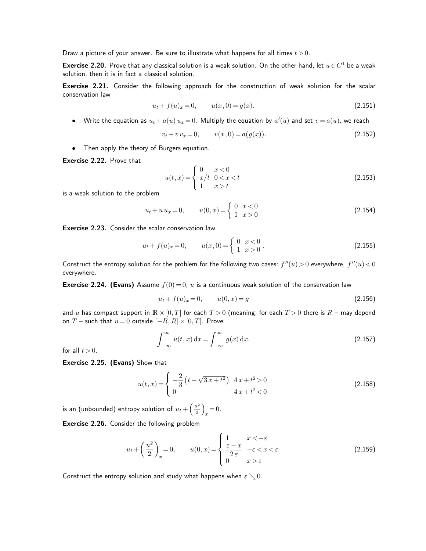Draw a picture of your answer. Be sure to illustrate what happens for all times  $t > 0$ .

**Exercise 2.20.** Prove that any classical solution is a weak solution. On the other hand, let  $u \in C^1$  be a weak solution, then it is in fact a classical solution.

Exercise 2.21. Consider the following approach for the construction of weak solution for the scalar conservation law

$$
u_t + f(u)_x = 0, \qquad u(x,0) = g(x). \tag{2.151}
$$

• Write the equation as  $u_t + a(u) u_x = 0$ . Multiply the equation by  $a'(u)$  and set  $v = a(u)$ , we reach

$$
v_t + v v_x = 0, \qquad v(x, 0) = a(g(x)). \tag{2.152}
$$

• Then apply the theory of Burgers equation.

Exercise 2.22. Prove that

$$
u(t,x) = \begin{cases} 0 & x < 0 \\ x/t & 0 < x < t \\ 1 & x > t \end{cases} \tag{2.153}
$$

is a weak solution to the problem

$$
u_t + u u_x = 0, \t u(0, x) = \begin{cases} 0 & x < 0 \\ 1 & x > 0 \end{cases}.
$$
\t(2.154)

Exercise 2.23. Consider the scalar conservation law

$$
u_t + f(u)_x = 0, \qquad u(x,0) = \begin{cases} 0 & x < 0 \\ 1 & x > 0 \end{cases} . \tag{2.155}
$$

Construct the entropy solution for the problem for the following two cases:  $f''(u) > 0$  everywhere,  $f''(u) < 0$ everywhere.

**Exercise 2.24. (Evans)** Assume  $f(0) = 0$ , u is a continuous weak solution of the conservation law

$$
u_t + f(u)_x = 0, \t u(0, x) = g \t (2.156)
$$

and u has compact support in  $\mathbb{R} \times [0,T]$  for each  $T > 0$  (meaning: for each  $T > 0$  there is  $R$  – may depend on T – such that  $u = 0$  outside  $[-R, R] \times [0, T]$ . Prove

$$
\int_{-\infty}^{\infty} u(t, x) dx = \int_{-\infty}^{\infty} g(x) dx.
$$
 (2.157)

for all  $t > 0$ .

Exercise 2.25. (Evans) Show that

$$
u(t,x) = \begin{cases} -\frac{2}{3} \left( t + \sqrt{3x + t^2} \right) & 4x + t^2 > 0 \\ 0 & 4x + t^2 < 0 \end{cases}
$$
 (2.158)

is an (unbounded) entropy solution of  $u_t+\left(\frac{u^2}{2}\right)$  $\frac{\iota^2}{2}\right)$  $x = 0.$ 

Exercise 2.26. Consider the following problem

$$
u_t + \left(\frac{u^2}{2}\right)_x = 0, \qquad u(0, x) = \begin{cases} 1 & x < -\varepsilon \\ \frac{\varepsilon - x}{2\varepsilon} & -\varepsilon < x < \varepsilon \\ 0 & x > \varepsilon \end{cases} \tag{2.159}
$$

Construct the entropy solution and study what happens when  $\varepsilon \searrow 0$ .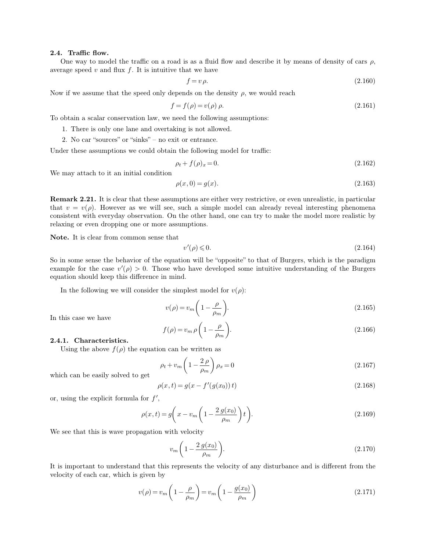#### **2.4. Traffic flow.**

One way to model the traffic on a road is as a fluid flow and describe it by means of density of cars  $\rho$ , average speed  $v$  and flux  $f$ . It is intuitive that we have

$$
f = v \,\rho. \tag{2.160}
$$

Now if we assume that the speed only depends on the density  $\rho$ , we would reach

$$
f = f(\rho) = v(\rho)\,\rho.\tag{2.161}
$$

To obtain a scalar conservation law, we need the following assumptions:

- 1. There is only one lane and overtaking is not allowed.
- 2. No car "sources" or "sinks" no exit or entrance.

Under these assumptions we could obtain the following model for traffic:

$$
\rho_t + f(\rho)_x = 0. \tag{2.162}
$$

We may attach to it an initial condition

$$
\rho(x,0) = g(x). \tag{2.163}
$$

**Remark 2.21.** It is clear that these assumptions are either very restrictive, or even unrealistic, in particular that  $v = v(\rho)$ . However as we will see, such a simple model can already reveal interesting phenomena consistent with everyday observation. On the other hand, one can try to make the model more realistic by relaxing or even dropping one or more assumptions.

**Note.** It is clear from common sense that

$$
v'(\rho) \leq 0. \tag{2.164}
$$

So in some sense the behavior of the equation will be "opposite" to that of Burgers, which is the paradigm example for the case  $v'(\rho) > 0$ . Those who have developed some intuitive understanding of the Burgers equation should keep this difference in mind.

In the following we will consider the simplest model for  $v(\rho)$ :

$$
v(\rho) = v_m \left(1 - \frac{\rho}{\rho_m}\right). \tag{2.165}
$$

In this case we have

$$
f(\rho) = v_m \rho \left( 1 - \frac{\rho}{\rho_m} \right). \tag{2.166}
$$

**2.4.1. Characteristics.**

Using the above  $f(\rho)$  the equation can be written as

$$
\rho_t + v_m \left(1 - \frac{2\,\rho}{\rho_m}\right) \rho_x = 0\tag{2.167}
$$

which can be easily solved to get

$$
\rho(x,t) = g(x - f'(g(x_0))\,t) \tag{2.168}
$$

or, using the explicit formula for  $f'$ ,

$$
\rho(x,t) = g\left(x - v_m\left(1 - \frac{2g(x_0)}{\rho_m}\right)t\right).
$$
\n(2.169)

We see that this is wave propagation with velocity

<span id="page-16-0"></span>
$$
v_m \left(1 - \frac{2 g(x_0)}{\rho_m}\right). \tag{2.170}
$$

It is important to understand that this represents the velocity of any disturbance and is different from the velocity of each car, which is given by

$$
v(\rho) = v_m \left( 1 - \frac{\rho}{\rho_m} \right) = v_m \left( 1 - \frac{g(x_0)}{\rho_m} \right)
$$
\n(2.171)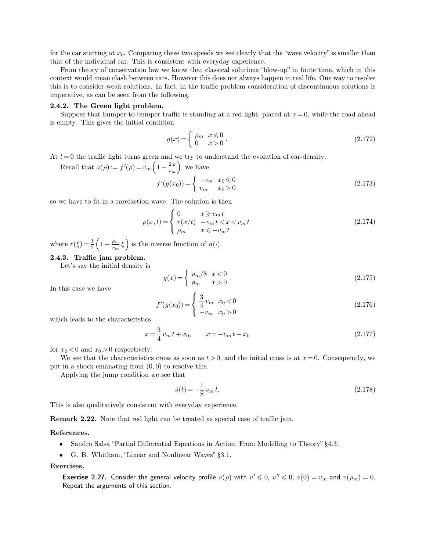for the car starting at  $x_0$ . Comparing these two speeds we see clearly that the "wave velocity" is smaller than that of the individual car. This is consistent with everyday experience.

From theory of conservation law we know that classical solutions "blow-up" in finite time, which in this context would mean clash between cars. However this does not always happen in real life. One way to resolve this is to consider weak solutions. In fact, in the traffic problem consideration of discontinuous solutions is imperative, as can be seen from the following.

#### **2.4.2. The Green light problem.**

Suppose that bumper-to-bumper traffic is standing at a red light, placed at  $x = 0$ , while the road ahead is empty. This gives the initial condition

$$
g(x) = \begin{cases} \rho_m & x \le 0 \\ 0 & x > 0 \end{cases} . \tag{2.172}
$$

At  $t = 0$  the traffic light turns green and we try to understand the evolution of car-density.

Recall that  $a(\rho) := f'(\rho) = v_m \left(1 - \frac{2 \rho}{\rho_m}\right)$  $\frac{2 \rho}{\rho_m}$ , we have

$$
f'(g(x_0)) = \begin{cases} -v_m & x_0 \le 0\\ v_m & x_0 > 0 \end{cases}
$$
 (2.173)

so we have to fit in a rarefaction wave. The solution is then

$$
\rho(x,t) = \begin{cases}\n0 & x \geq v_m t \\
r(x/t) & -v_m t < x < v_m t \\
\rho_m & x \leqslant -v_m t\n\end{cases} \tag{2.174}
$$

where  $r(\xi) = \frac{1}{2} \left( 1 - \frac{\rho_m}{v_m} \right)$  $\left(\frac{\rho_m}{v_m}\xi\right)$  is the inverse function of  $a(\cdot)$ .

# **2.4.3. Traffic jam problem.**

Let's say the initial density is

$$
g(x) = \begin{cases} \rho_m/8 & x < 0 \\ \rho_m & x > 0 \end{cases} \tag{2.175}
$$

In this case we have

$$
f'(g(x_0)) = \begin{cases} \frac{3}{4}v_m & x_0 < 0\\ -v_m & x_0 > 0 \end{cases}
$$
 (2.176)

which leads to the characteristics

$$
x = \frac{3}{4}v_m t + x_0, \qquad x = -v_m t + x_0 \tag{2.177}
$$

for  $x_0 < 0$  and  $x_0 > 0$  respectively.

We see that the characteristics cross as soon as  $t > 0$ , and the initial cross is at  $x = 0$ . Consequently, we put in a shock emanating from  $(0, 0)$  to resolve this.

Applying the jump condition we see that

$$
\dot{s}(t) = -\frac{1}{8}v_m t. \tag{2.178}
$$

This is also qualitatively consistent with everyday experience.

**Remark 2.22.** Note that red light can be treated as special case of traffic jam.

#### **References.**

- Sandro Salsa "Partial Differential Equations in Action: From Modelling to Theory" §4.3.
- G. B. Whitham, "Linear and Nonlinear Waves" §3.1.

**Exercises.**

**Exercise 2.27.** Consider the general velocity profile  $v(\rho)$  with  $v' \leq 0$ ,  $v'' \leq 0$ ,  $v(0) = v_m$  and  $v(\rho_m) = 0$ . Repeat the arguments of this section.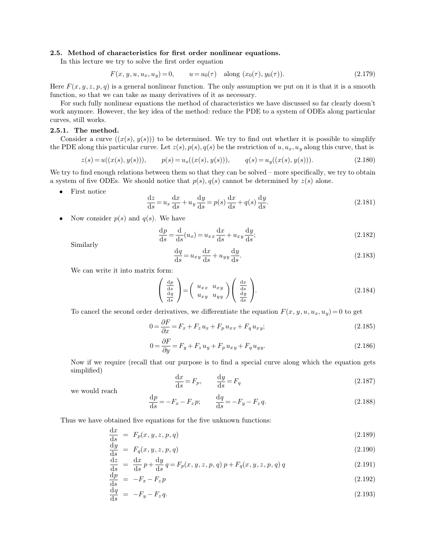# **2.5. Method of characteristics for first order nonlinear equations.**

In this lecture we try to solve the first order equation

<span id="page-18-3"></span><span id="page-18-2"></span><span id="page-18-1"></span>
$$
F(x, y, u, u_x, u_y) = 0, \qquad u = u_0(\tau) \quad \text{along } (x_0(\tau), y_0(\tau)). \tag{2.179}
$$

Here  $F(x, y, z, p, q)$  is a general nonlinear function. The only assumption we put on it is that it is a smooth function, so that we can take as many derivatives of it as necessary.

For such fully nonlinear equations the method of characteristics we have discussed so far clearly doesn't work anymore. However, the key idea of the method: reduce the PDE to a system of ODEs along particular curves, still works.

# **2.5.1. The method.**

Consider a curve  $((x(s), y(s)))$  to be determined. We try to find out whether it is possible to simplify the PDE along this particular curve. Let  $z(s)$ ,  $p(s)$ ,  $q(s)$  be the restriction of  $u, u_x, u_y$  along this curve, that is

$$
z(s) = u((x(s), y(s))), \qquad p(s) = u_x((x(s), y(s))), \qquad q(s) = u_y((x(s), y(s))). \tag{2.180}
$$

We try to find enough relations between them so that they can be solved – more specifically, we try to obtain a system of five ODEs. We should notice that  $p(s)$ ,  $q(s)$  cannot be determined by  $z(s)$  alone.

• First notice

$$
\frac{\mathrm{d}z}{\mathrm{d}s} = u_x \frac{\mathrm{d}x}{\mathrm{d}s} + u_y \frac{\mathrm{d}y}{\mathrm{d}s} = p(s) \frac{\mathrm{d}x}{\mathrm{d}s} + q(s) \frac{\mathrm{d}y}{\mathrm{d}s}.\tag{2.181}
$$

• Now consider  $p(s)$  and  $q(s)$ . We have

$$
\frac{\mathrm{d}p}{\mathrm{d}s} = \frac{\mathrm{d}}{\mathrm{d}s}(u_x) = u_{xx}\frac{\mathrm{d}x}{\mathrm{d}s} + u_{xy}\frac{\mathrm{d}y}{\mathrm{d}s};\tag{2.182}
$$

Similarly

$$
\frac{\mathrm{d}q}{\mathrm{d}s} = u_{xy}\frac{\mathrm{d}x}{\mathrm{d}s} + u_{yy}\frac{\mathrm{d}y}{\mathrm{d}s}.\tag{2.183}
$$

We can write it into matrix form:

$$
\begin{pmatrix}\n\frac{dp}{ds} \\
\frac{dq}{ds}\n\end{pmatrix} = \begin{pmatrix}\nu_{xx} & u_{xy} \\
u_{xy} & u_{yy}\n\end{pmatrix} \begin{pmatrix}\n\frac{dx}{ds} \\
\frac{dy}{ds}\n\end{pmatrix}.
$$
\n(2.184)

To cancel the second order derivatives, we differentiate the equation  $F(x, y, u, u_x, u_y) = 0$  to get

$$
0 = \frac{\partial F}{\partial x} = F_x + F_z u_x + F_p u_{xx} + F_q u_{xy};\tag{2.185}
$$

$$
0 = \frac{\partial F}{\partial y} = F_y + F_z u_y + F_p u_{xy} + F_q u_{yy}.
$$
\n
$$
(2.186)
$$

Now if we require (recall that our purpose is to find a special curve along which the equation gets simplified)

<span id="page-18-0"></span>
$$
\frac{\mathrm{d}x}{\mathrm{d}s} = F_p, \qquad \frac{\mathrm{d}y}{\mathrm{d}s} = F_q \tag{2.187}
$$

we would reach

$$
\frac{\mathrm{d}p}{\mathrm{d}s} = -F_x - F_z p; \qquad \frac{\mathrm{d}q}{\mathrm{d}s} = -F_y - F_z q. \tag{2.188}
$$

Thus we have obtained five equations for the five unknown functions:

$$
\frac{\mathrm{d}x}{\mathrm{d}s} = F_p(x, y, z, p, q) \tag{2.189}
$$

$$
\frac{\mathrm{d}y}{\mathrm{d}s} = F_q(x, y, z, p, q) \tag{2.190}
$$

$$
\frac{\mathrm{d}z}{\mathrm{d}s} = \frac{\mathrm{d}x}{\mathrm{d}s}p + \frac{\mathrm{d}y}{\mathrm{d}s}q = F_p(x, y, z, p, q)p + F_q(x, y, z, p, q)q\tag{2.191}
$$

$$
\frac{\mathrm{d}p}{\mathrm{d}s} = -F_x - F_z p \tag{2.192}
$$

$$
\frac{\mathrm{d}q}{\mathrm{d}s} = -F_y - F_z q. \tag{2.193}
$$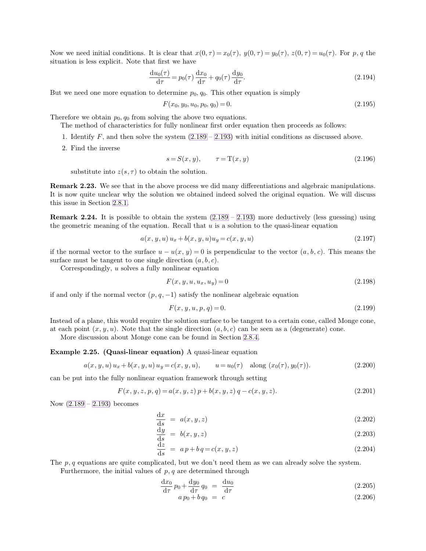Now we need initial conditions. It is clear that  $x(0, \tau) = x_0(\tau)$ ,  $y(0, \tau) = y_0(\tau)$ ,  $z(0, \tau) = u_0(\tau)$ . For p, q the situation is less explicit. Note that first we have

$$
\frac{\mathrm{d}u_0(\tau)}{\mathrm{d}\tau} = p_0(\tau)\frac{\mathrm{d}x_0}{\mathrm{d}\tau} + q_0(\tau)\frac{\mathrm{d}y_0}{\mathrm{d}\tau}.\tag{2.194}
$$

But we need one more equation to determine  $p_0, q_0$ . This other equation is simply

$$
F(x_0, y_0, u_0, p_0, q_0) = 0. \t\t(2.195)
$$

Therefore we obtain  $p_0$ ,  $q_0$  from solving the above two equations.

The method of characteristics for fully nonlinear first order equation then proceeds as follows:

- 1. Identify  $F$ , and then solve the system  $(2.189 2.193)$  $(2.189 2.193)$  $(2.189 2.193)$  with initial conditions as discussed above.
- 2. Find the inverse

$$
s = S(x, y), \qquad \tau = \mathcal{T}(x, y) \tag{2.196}
$$

substitute into  $z(s, \tau)$  to obtain the solution.

**Remark 2.23.** We see that in the above process we did many differentiations and algebraic manipulations. It is now quite unclear why the solution we obtained indeed solved the original equation. We will discuss this issue in Section [2.8.1.](#page-36-0)

**Remark 2.24.** It is possible to obtain the system  $(2.189 - 2.193)$  $(2.189 - 2.193)$  $(2.189 - 2.193)$  more deductively (less guessing) using the geometric meaning of the equation. Recall that  $u$  is a solution to the quasi-linear equation

$$
a(x, y, u) u_x + b(x, y, u) u_y = c(x, y, u)
$$
\n(2.197)

if the normal vector to the surface  $u - u(x, y) = 0$  is perpendicular to the vector  $(a, b, c)$ . This means the surface must be tangent to one single direction  $(a, b, c)$ .

Correspondingly, u solves a fully nonlinear equation

$$
F(x, y, u, u_x, u_y) = 0 \t\t(2.198)
$$

if and only if the normal vector  $(p, q, -1)$  satisfy the nonlinear algebraic equation

$$
F(x, y, u, p, q) = 0.
$$
\n(2.199)

Instead of a plane, this would require the solution surface to be tangent to a certain cone, called Monge cone, at each point  $(x, y, u)$ . Note that the single direction  $(a, b, c)$  can be seen as a (degenerate) cone.

More discussion about Monge cone can be found in Section [2.8.4.](#page-39-0)

# **Example 2.25. (Quasi-linear equation)** A quasi-linear equation

$$
a(x, y, u) u_x + b(x, y, u) u_y = c(x, y, u), \qquad u = u_0(\tau) \quad \text{along } (x_0(\tau), y_0(\tau)). \tag{2.200}
$$

can be put into the fully nonlinear equation framework through setting

$$
F(x, y, z, p, q) = a(x, y, z) p + b(x, y, z) q - c(x, y, z).
$$
\n(2.201)

Now [\(2.189](#page-18-1) – [2.193\)](#page-18-2) becomes

$$
\frac{\mathrm{d}x}{\mathrm{d}s} = a(x, y, z) \tag{2.202}
$$

$$
\frac{\mathrm{d}y}{\mathrm{d}s} = b(x, y, z) \tag{2.203}
$$

$$
\frac{\mathrm{d}z}{\mathrm{d}s} = a p + b q = c(x, y, z) \tag{2.204}
$$

The  $p, q$  equations are quite complicated, but we don't need them as we can already solve the system.

Furthermore, the initial values of  $p, q$  are determined through

$$
\frac{\mathrm{d}x_0}{\mathrm{d}\tau}p_0 + \frac{\mathrm{d}y_0}{\mathrm{d}\tau}q_0 = \frac{\mathrm{d}u_0}{\mathrm{d}\tau} \tag{2.205}
$$

$$
a p_0 + b q_0 = c \tag{2.206}
$$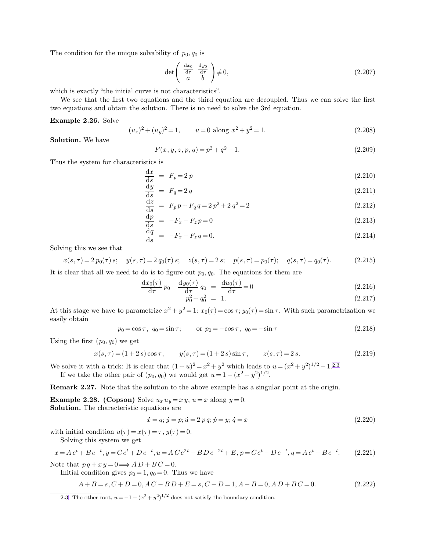The condition for the unique solvability of  $p_0$ ,  $q_0$  is

<span id="page-20-0"></span>
$$
\det\left(\begin{array}{cc} \frac{\mathrm{d}x_0}{\mathrm{d}\tau} & \frac{\mathrm{d}y_0}{\mathrm{d}\tau} \\ a & b \end{array}\right) \neq 0, \tag{2.207}
$$

which is exactly "the initial curve is not characteristics".

We see that the first two equations and the third equation are decoupled. Thus we can solve the first two equations and obtain the solution. There is no need to solve the 3rd equation.

### **Example 2.26.** Solve

$$
(u_x)^2 + (u_y)^2 = 1, \qquad u = 0 \text{ along } x^2 + y^2 = 1. \tag{2.208}
$$

**Solution.** We have

$$
F(x, y, z, p, q) = p^2 + q^2 - 1.
$$
\n(2.209)

Thus the system for characteristics is

$$
\frac{\mathrm{d}x}{\mathrm{d}s} = F_p = 2p \tag{2.210}
$$

$$
\frac{\mathrm{d}y}{\mathrm{d}s} = F_q = 2 q \tag{2.211}
$$

$$
\frac{\mathrm{d}z}{\mathrm{d}s} = F_p p + F_q q = 2p^2 + 2q^2 = 2\tag{2.212}
$$

$$
\frac{\mathrm{d}p}{\mathrm{d}s} = -F_x - F_z p = 0 \tag{2.213}
$$

$$
\frac{dq}{ds} = -F_x - F_z q = 0.
$$
\n(2.214)

Solving this we see that

$$
x(s,\tau) = 2 p_0(\tau) s; \quad y(s,\tau) = 2 q_0(\tau) s; \quad z(s,\tau) = 2 s; \quad p(s,\tau) = p_0(\tau); \quad q(s,\tau) = q_0(\tau). \tag{2.215}
$$

It is clear that all we need to do is to figure out  $p_0, q_0$ . The equations for them are

$$
\frac{\mathrm{d}x_0(\tau)}{\mathrm{d}\tau}p_0 + \frac{\mathrm{d}y_0(\tau)}{\mathrm{d}\tau}q_0 = \frac{\mathrm{d}u_0(\tau)}{\mathrm{d}\tau} = 0\tag{2.216}
$$

$$
p_0^2 + q_0^2 = 1. \tag{2.217}
$$

At this stage we have to parametrize  $x^2 + y^2 = 1$ :  $x_0(\tau) = \cos \tau$ ;  $y_0(\tau) = \sin \tau$ . With such parametrization we easily obtain

$$
p_0 = \cos \tau, \quad q_0 = \sin \tau; \quad \text{or} \quad p_0 = -\cos \tau, \quad q_0 = -\sin \tau
$$
 (2.218)

Using the first  $(p_0, q_0)$  we get

$$
x(s,\tau) = (1+2s)\cos\tau, \qquad y(s,\tau) = (1+2s)\sin\tau, \qquad z(s,\tau) = 2s. \tag{2.219}
$$

We solve it with a trick: It is clear that  $(1 + u)^2 = x^2 + y^2$  which leads to  $u = (x^2 + y^2)^{1/2} - 1^{2.3}$ If we take the other pair of  $(p_0, q_0)$  we would get  $u = 1 - (x^2 + y^2)^{1/2}$ .

**Remark 2.27.** Note that the solution to the above example has a singular point at the origin.

**Example 2.28. (Copson)** Solve  $u_x u_y = x y$ ,  $u = x$  along  $y = 0$ . **Solution.** The characteristic equations are

$$
\dot{x} = q; \dot{y} = p; \dot{u} = 2 p q; \dot{p} = y; \dot{q} = x \tag{2.220}
$$

with initial condition  $u(\tau) = x(\tau) = \tau$ ,  $y(\tau) = 0$ .

Solving this system we get

$$
x = Ae^{t} + Be^{-t}, y = Ce^{t} + De^{-t}, u = ACe^{2t} - BDe^{-2t} + E, p = Ce^{t} - De^{-t}, q = Ae^{t} - Be^{-t}.
$$
 (2.221)

Note that  $p q + x y = 0 \Longrightarrow AD + BC = 0.$ 

Initial condition gives  $p_0 = 1, q_0 = 0$ . Thus we have

$$
A + B = s, C + D = 0, AC - BD + E = s, C - D = 1, A - B = 0, AD + BC = 0.
$$
\n
$$
(2.222)
$$

[2.3.](#page-20-0) The other root,  $u = -1 - (x^2 + y^2)^{1/2}$  does not satisfy the boundary condition.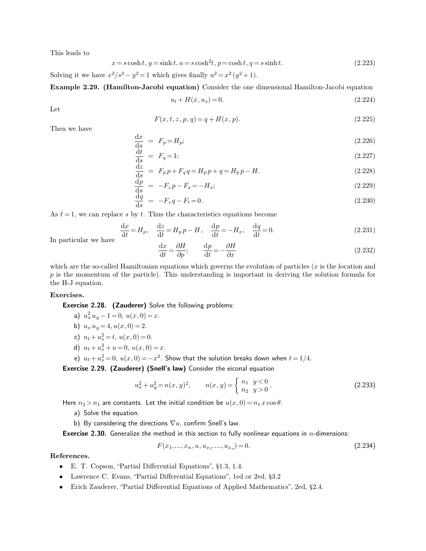This leads to

$$
x = s \cosh t, y = \sinh t, u = s \cosh^{2} t, p = \cosh t, q = s \sinh t.
$$
\n
$$
(2.223)
$$

Solving it we have  $x^2/s^2 - y^2 = 1$  which gives finally  $u^2 = x^2(y^2 + 1)$ .

**Example 2.29. (Hamilton-Jacobi equation)** Consider the one dimensional Hamilton-Jacobi equation

$$
u_t + H(x, u_x) = 0. \t\t(2.224)
$$

Let

$$
F(x, t, z, p, q) = q + H(x, p).
$$
\n(2.225)

Then we have

$$
\frac{\mathrm{d}x}{\mathrm{d}s} = F_p = H_p;\tag{2.226}
$$

$$
\frac{\mathrm{d}t}{\mathrm{d}s} = F_q = 1;\tag{2.227}
$$

$$
\frac{dz}{ds} = F_p p + F_q q = H_p p + q = H_p p - H.
$$
\n(2.228)

$$
\frac{\mathrm{d}p}{\mathrm{d}s} = -F_z p - F_x = -H_x;\tag{2.229}
$$

$$
\frac{\mathrm{d}q}{\mathrm{d}s} = -F_z q - F_t = 0. \tag{2.230}
$$

As  $t = 1$ , we can replace s by t. Thus the characteristics equations become

$$
\frac{\mathrm{d}x}{\mathrm{d}t} = H_p, \quad \frac{\mathrm{d}z}{\mathrm{d}t} = H_p p - H, \quad \frac{\mathrm{d}p}{\mathrm{d}t} = -H_x, \quad \frac{\mathrm{d}q}{\mathrm{d}t} = 0. \tag{2.231}
$$

In particular we have

$$
\frac{\mathrm{d}x}{\mathrm{d}t} = \frac{\partial H}{\partial p}; \qquad \frac{\mathrm{d}p}{\mathrm{d}t} = -\frac{\partial H}{\partial x}
$$
\n(2.232)

which are the so-called Hamiltonian equations which governs the evolution of particles  $(x)$  is the location and  $p$  is the momentum of the particle). This understanding is important in deriving the solution formula for the H-J equation.

# **Exercises.**

Exercise 2.28. (Zauderer) Solve the following problems:

a)  $u_x^2 u_y - 1 = 0$ ,  $u(x, 0) = x$ .

$$
b) u_x u_y = 4, u(x, 0) = 2.
$$

- c)  $u_t + u_x^2 = t$ ,  $u(x, 0) = 0$ .
- d)  $u_t + u_x^2 + u = 0$ ,  $u(x, 0) = x$ .
- e)  $u_t + u_x^2 = 0$ ,  $u(x, 0) = -x^2$ . Show that the solution breaks down when  $t = 1/4$ .

Exercise 2.29. (Zauderer) (Snell's law) Consider the eiconal equation

$$
u_x^2 + u_y^2 = n(x, y)^2, \qquad n(x, y) = \begin{cases} n_1 & y < 0 \\ n_2 & y > 0 \end{cases} \tag{2.233}
$$

Here  $n_2 > n_1$  are constants. Let the initial condition be  $u(x, 0) = n_1 x \cos \theta$ .

- a) Solve the equation.
- b) By considering the directions  $\nabla u$ , confirm Snell's law.

**Exercise 2.30.** Generalize the method in this section to fully nonlinear equations in  $n$ -dimensions:

$$
F(x_1, ..., x_n, u, u_{x_1}, ..., u_{x_n}) = 0.
$$
\n(2.234)

# **References.**

- E. T. Copson, "Partial Differential Equations", §1.3, 1.4.
- Lawrence C. Evans, "Partial Differential Equations", 1ed or 2ed, §3.2
- Erich Zauderer, "Partial Differential Equations of Applied Mathematics", 2ed, §2.4.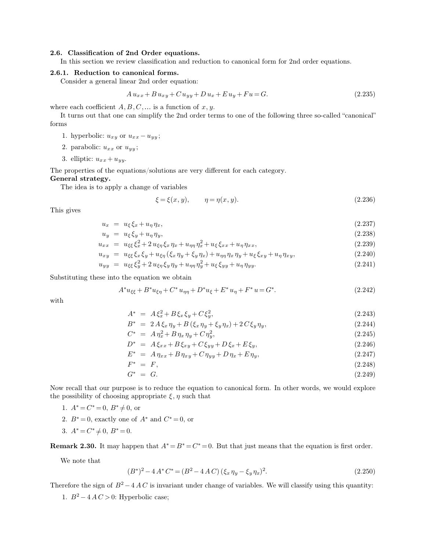# **2.6. Classification of 2nd Order equations.**

In this section we review classification and reduction to canonical form for 2nd order equations.

# **2.6.1. Reduction to canonical forms.**

Consider a general linear 2nd order equation:

$$
A u_{xx} + B u_{xy} + C u_{yy} + D u_x + E u_y + F u = G.
$$
\n(2.235)

where each coefficient  $A, B, C, \dots$  is a function of  $x, y$ .

It turns out that one can simplify the 2nd order terms to one of the following three so-called "canonical" forms

- 1. hyperbolic:  $u_{xy}$  or  $u_{xx} u_{yy}$ ;
- 2. parabolic:  $u_{xx}$  or  $u_{yy}$ ;
- 3. elliptic:  $u_{xx} + u_{yy}$ .

The properties of the equations/solutions are very different for each category.

**General strategy.**

The idea is to apply a change of variables

$$
\xi = \xi(x, y), \qquad \eta = \eta(x, y). \tag{2.236}
$$

This gives

$$
u_x = u_{\xi} \xi_x + u_{\eta} \eta_x, \tag{2.237}
$$

$$
u_y = u_{\xi} \xi_y + u_{\eta} \eta_y, \tag{2.238}
$$

$$
u_{xx} = u_{\xi\xi}\xi_x^2 + 2u_{\xi\eta}\xi_x\eta_x + u_{\eta\eta}\eta_x^2 + u_{\xi}\xi_{xx} + u_{\eta}\eta_{xx},
$$
\n(2.239)

$$
u_{xy} = u_{\xi\xi}\xi_x\xi_y + u_{\xi\eta}(\xi_x\eta_y + \xi_y\eta_x) + u_{\eta\eta}\eta_x\eta_y + u_{\xi}\xi_{xy} + u_{\eta}\eta_{xy},
$$
\n(2.240)

$$
u_{yy} = u_{\xi\xi}\xi_y^2 + 2u_{\xi\eta}\xi_y\eta_y + u_{\eta\eta}\eta_y^2 + u_{\xi}\xi_{yy} + u_{\eta}\eta_{yy}.
$$
\n(2.241)

Substituting these into the equation we obtain

$$
A^*u_{\xi\xi} + B^*u_{\xi\eta} + C^*u_{\eta\eta} + D^*u_{\xi} + E^*u_{\eta} + F^*u = G^*.
$$
 (2.242)

with

$$
A^* = A\xi_x^2 + B\xi_x\xi_y + C\xi_y^2, \tag{2.243}
$$

$$
B^* = 2A\xi_x \eta_y + B(\xi_x \eta_y + \xi_y \eta_x) + 2C\xi_y \eta_y, \tag{2.244}
$$

$$
C^* = A \eta_x^2 + B \eta_x \eta_y + C \eta_y^2, \tag{2.245}
$$

$$
D^* = A \xi_{xx} + B \xi_{xy} + C \xi_{yy} + D \xi_x + E \xi_y, \tag{2.246}
$$

$$
E^* = A \eta_{xx} + B \eta_{xy} + C \eta_{yy} + D \eta_x + E \eta_y, \qquad (2.247)
$$

$$
* = F, \tag{2.248}
$$

$$
G^* = G. \tag{2.249}
$$

Now recall that our purpose is to reduce the equation to canonical form. In other words, we would explore the possibility of choosing appropriate  $\xi, \eta$  such that

- 1.  $A^* = C^* = 0, B^* \neq 0$ , or
- 2.  $B^* = 0$ , exactly one of  $A^*$  and  $C^* = 0$ , or

 $F^*$ 

3.  $A^* = C^* \neq 0, B^* = 0.$ 

**Remark 2.30.** It may happen that  $A^* = B^* = C^* = 0$ . But that just means that the equation is first order.

We note that

$$
(B^*)^2 - 4A^*C^* = (B^2 - 4AC)(\xi_x \eta_y - \xi_y \eta_x)^2.
$$
\n(2.250)

Therefore the sign of  $B^2 - 4AC$  is invariant under change of variables. We will classify using this quantity:

1.  $B^2 - 4AC > 0$ : Hyperbolic case;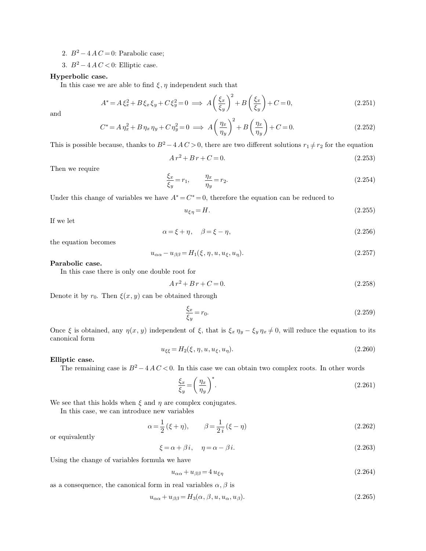2.  $B^2 - 4AC = 0$ : Parabolic case;

3.  $B^2 - 4AC < 0$ : Elliptic case.

# **Hyperbolic case.**

In this case we are able to find  $\xi, \eta$  independent such that

$$
A^* = A \xi_x^2 + B \xi_x \xi_y + C \xi_y^2 = 0 \implies A \left(\frac{\xi_x}{\xi_y}\right)^2 + B \left(\frac{\xi_x}{\xi_y}\right) + C = 0,
$$
\n(2.251)

and

$$
C^* = A \eta_x^2 + B \eta_x \eta_y + C \eta_y^2 = 0 \implies A \left(\frac{\eta_x}{\eta_y}\right)^2 + B \left(\frac{\eta_x}{\eta_y}\right) + C = 0. \tag{2.252}
$$

This is possible because, thanks to  $B^2 - 4AC > 0$ , there are two different solutions  $r_1 \neq r_2$  for the equation

$$
A r^2 + B r + C = 0. \tag{2.253}
$$

Then we require

$$
\frac{\xi_x}{\xi_y} = r_1, \qquad \frac{\eta_x}{\eta_y} = r_2. \tag{2.254}
$$

Under this change of variables we have  $A^* = C^* = 0$ , therefore the equation can be reduced to

$$
u_{\xi\eta} = H.\tag{2.255}
$$

If we let

$$
\alpha = \xi + \eta, \quad \beta = \xi - \eta, \tag{2.256}
$$

the equation becomes

$$
u_{\alpha\alpha} - u_{\beta\beta} = H_1(\xi, \eta, u, u_\xi, u_\eta). \tag{2.257}
$$

# **Parabolic case.**

In this case there is only one double root for

$$
A r^2 + B r + C = 0. \tag{2.258}
$$

Denote it by  $r_0$ . Then  $\xi(x, y)$  can be obtained through

$$
\frac{\xi_x}{\xi_y} = r_0. \tag{2.259}
$$

Once  $\xi$  is obtained, any  $\eta(x, y)$  independent of  $\xi$ , that is  $\xi_x \eta_y - \xi_y \eta_x \neq 0$ , will reduce the equation to its canonical form

$$
u_{\xi\xi} = H_2(\xi, \eta, u, u_{\xi}, u_{\eta}).\tag{2.260}
$$

# **Elliptic case.**

The remaining case is  $B^2 - 4AC < 0$ . In this case we can obtain two complex roots. In other words

$$
\frac{\xi_x}{\xi_y} = \left(\frac{\eta_x}{\eta_y}\right)^*.\tag{2.261}
$$

We see that this holds when  $\xi$  and  $\eta$  are complex conjugates.

In this case, we can introduce new variables

$$
\alpha = \frac{1}{2} (\xi + \eta), \qquad \beta = \frac{1}{2i} (\xi - \eta)
$$
\n(2.262)

or equivalently

$$
\xi = \alpha + \beta i, \quad \eta = \alpha - \beta i. \tag{2.263}
$$

Using the change of variables formula we have

$$
u_{\alpha\alpha} + u_{\beta\beta} = 4 u_{\xi\eta} \tag{2.264}
$$

as a consequence, the canonical form in real variables  $\alpha$ ,  $\beta$  is

$$
u_{\alpha\alpha} + u_{\beta\beta} = H_3(\alpha, \beta, u, u_{\alpha}, u_{\beta}).
$$
\n(2.265)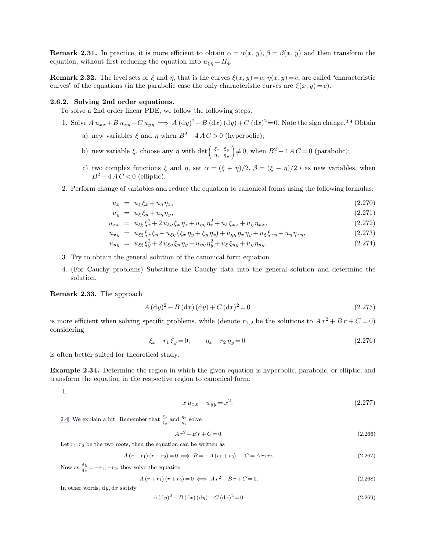**Remark 2.31.** In practice, it is more efficient to obtain  $\alpha = \alpha(x, y)$ ,  $\beta = \beta(x, y)$  and then transform the equation, without first reducing the equation into  $u_{\xi\eta} = H_4$ .

**Remark 2.32.** The level sets of  $\xi$  and  $\eta$ , that is the curves  $\xi(x, y) = c$ ,  $\eta(x, y) = c$ , are called "characteristic curves" of the equations (in the parabolic case the only characteristic curves are  $\xi(x, y) = c$ ).

# **2.6.2. Solving 2nd order equations.**

To solve a 2nd order linear PDE, we follow the following steps.

- 1. Solve  $A u_{xx} + B u_{xy} + C u_{yy} \implies A (dy)^2 B (dx) (dy) + C (dx)^2 = 0$ . Note the sign change.<sup>2.4</sup> Obtain a) new variables  $\xi$  and  $\eta$  when  $B^2 - 4AC > 0$  (hyperbolic);
	- b) new variable  $\xi$ , choose any  $\eta$  with det  $\begin{pmatrix} \xi_x & \xi_y \\ \xi_x & \xi_y \end{pmatrix}$  $\eta_x$   $\eta_y$  $\Big) \neq 0$ , when  $B^2 - 4 A C = 0$  (parabolic);
	- c) two complex functions  $\xi$  and  $\eta$ , set  $\alpha = (\xi + \eta)/2$ ,  $\beta = (\xi \eta)/2$  *i* as new variables, when  $B^2 - 4 A C < 0$  (elliptic).
- 2. Perform change of variables and reduce the equation to canonical forms using the following formulas:

$$
u_x = u_{\xi} \xi_x + u_{\eta} \eta_x, \tag{2.270}
$$

$$
u_y = u_{\xi} \xi_y + u_{\eta} \eta_y, \tag{2.271}
$$

$$
u_{xx} = u_{\xi\xi} \xi_x^2 + 2 u_{\xi\eta} \xi_x \eta_x + u_{\eta\eta} \eta_x^2 + u_{\xi} \xi_{xx} + u_{\eta} \eta_{xx}, \qquad (2.272)
$$

$$
u_{xy} = u_{\xi\xi}\xi_x\xi_y + u_{\xi\eta}(\xi_x\eta_y + \xi_y\eta_x) + u_{\eta\eta}\eta_x\eta_y + u_{\xi}\xi_{xy} + u_{\eta}\eta_{xy},
$$
\n(2.273)

$$
u_{yy} = u_{\xi\xi}\xi_y^2 + 2u_{\xi\eta}\xi_y\eta_y + u_{\eta\eta}\eta_y^2 + u_{\xi}\xi_{yy} + u_{\eta}\eta_{yy}.
$$
\n(2.274)

- 3. Try to obtain the general solution of the canonical form equation.
- 4. (For Cauchy problems) Substitute the Cauchy data into the general solution and determine the solution.

**Remark 2.33.** The approach

$$
A (dy)2 - B (dx) (dy) + C (dx)2 = 0
$$
\n(2.275)

is more efficient when solving specific problems, while (denote  $r_{1,2}$  be the solutions to  $A r^2 + B r + C = 0$ ) considering

$$
\xi_x - r_1 \xi_y = 0; \qquad \eta_x - r_2 \eta_y = 0 \tag{2.276}
$$

is often better suited for theoretical study.

**Example 2.34.** Determine the region in which the given equation is hyperbolic, parabolic, or elliptic, and transform the equation in the respective region to canonical form.

1.

<span id="page-24-0"></span>
$$
x u_{xx} + u_{yy} = x^2.
$$
\n(2.277)

[2.4.](#page-24-0) We explain a bit. Remember that  $\frac{\xi_x}{\xi_y}$  and  $\frac{\eta_x}{\eta_y}$  solve

$$
A r^2 + B r + C = 0. \tag{2.266}
$$

Let  $r_1, r_2$  be the two roots, then the equation can be written as

$$
A (r - r_1) (r - r_2) = 0 \implies B = -A (r_1 + r_2), \quad C = A r_1 r_2. \tag{2.267}
$$

Now as  $\frac{dy}{dx} = -r_1, -r_2$ , they solve the equation

$$
A(r+r_1)(r+r_2) = 0 \iff Ar^2 - Br + C = 0.
$$
\n(2.268)

In other words,  $dy, dx$  satisfy

$$
A\left(\mathrm{d}y\right)^{2} - B\left(\mathrm{d}x\right)\left(\mathrm{d}y\right) + C\left(\mathrm{d}x\right)^{2} = 0. \tag{2.269}
$$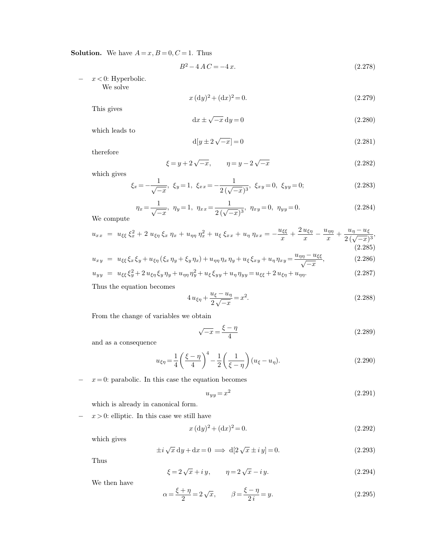**Solution.** We have  $A = x, B = 0, C = 1$ . Thus

$$
B^2 - 4AC = -4x.\t(2.278)
$$

−  $x < 0$ : Hyperbolic. We solve

$$
x \, (dy)^2 + (dx)^2 = 0. \tag{2.279}
$$

This gives

$$
dx \pm \sqrt{-x} dy = 0 \tag{2.280}
$$

which leads to

$$
d[y \pm 2\sqrt{-x}] = 0 \tag{2.281}
$$

therefore

$$
\xi = y + 2\sqrt{-x}, \qquad \eta = y - 2\sqrt{-x} \tag{2.282}
$$

which gives

$$
\xi_x = -\frac{1}{\sqrt{-x}}, \ \xi_y = 1, \ \xi_{xx} = -\frac{1}{2(\sqrt{-x})^3}, \ \xi_{xy} = 0, \ \xi_{yy} = 0; \tag{2.283}
$$

$$
\eta_x = \frac{1}{\sqrt{-x}}, \ \eta_y = 1, \ \eta_{xx} = \frac{1}{2(\sqrt{-x})^3}, \ \eta_{xy} = 0, \ \eta_{yy} = 0. \tag{2.284}
$$

We compute

$$
u_{xx} = u_{\xi\xi} \xi_x^2 + 2 u_{\xi\eta} \xi_x \eta_x + u_{\eta\eta} \eta_x^2 + u_{\xi} \xi_{xx} + u_{\eta} \eta_{xx} = -\frac{u_{\xi\xi}}{x} + \frac{2 u_{\xi\eta}}{x} - \frac{u_{\eta\eta}}{x} + \frac{u_{\eta} - u_{\xi}}{2(\sqrt{-x})^3},
$$
\n(2.285)

$$
u_{xy} = u_{\xi\xi}\xi_x\xi_y + u_{\xi\eta}(\xi_x\eta_y + \xi_y\eta_x) + u_{\eta\eta}\eta_x\eta_y + u_{\xi}\xi_{xy} + u_{\eta}\eta_{xy} = \frac{u_{\eta\eta} - u_{\xi\xi}}{\sqrt{-x}},
$$
(2.286)

$$
u_{yy} = u_{\xi\xi}\xi_y^2 + 2u_{\xi\eta}\xi_y\eta_y + u_{\eta\eta}\eta_y^2 + u_{\xi}\xi_{yy} + u_{\eta}\eta_{yy} = u_{\xi\xi} + 2u_{\xi\eta} + u_{\eta\eta}.
$$
\n(2.287)

Thus the equation becomes

$$
4 u_{\xi\eta} + \frac{u_{\xi} - u_{\eta}}{2\sqrt{-x}} = x^2.
$$
\n(2.288)

From the change of variables we obtain

$$
\sqrt{-x} = \frac{\xi - \eta}{4} \tag{2.289}
$$

and as a consequence

$$
u_{\xi\eta} = \frac{1}{4} \left( \frac{\xi - \eta}{4} \right)^4 - \frac{1}{2} \left( \frac{1}{\xi - \eta} \right) (u_{\xi} - u_{\eta}).
$$
 (2.290)

 $x = 0$ : parabolic. In this case the equation becomes

$$
u_{yy} = x^2 \tag{2.291}
$$

which is already in canonical form.

 $x > 0$ : elliptic. In this case we still have

$$
x \, (dy)^2 + (dx)^2 = 0. \tag{2.292}
$$

which gives

$$
\pm i\sqrt{x}\,dy + dx = 0 \implies d[2\sqrt{x}\pm i\,y] = 0. \tag{2.293}
$$

Thus

$$
\xi = 2\sqrt{x} + iy, \qquad \eta = 2\sqrt{x} - iy. \tag{2.294}
$$

We then have

$$
\alpha = \frac{\xi + \eta}{2} = 2\sqrt{x}, \qquad \beta = \frac{\xi - \eta}{2i} = y.
$$
 (2.295)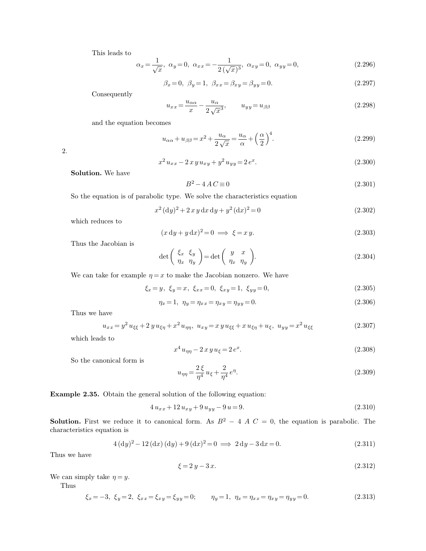This leads to

$$
\alpha_x = \frac{1}{\sqrt{x}}, \ \alpha_y = 0, \ \alpha_{xx} = -\frac{1}{2(\sqrt{x})^3}, \ \alpha_{xy} = 0, \ \alpha_{yy} = 0,
$$
\n(2.296)

$$
\beta_x = 0, \ \beta_y = 1, \ \beta_{xx} = \beta_{xy} = \beta_{yy} = 0. \tag{2.297}
$$

Consequently

$$
u_{xx} = \frac{u_{\alpha\alpha}}{x} - \frac{u_{\alpha}}{2\sqrt{x^3}}, \qquad u_{yy} = u_{\beta\beta} \tag{2.298}
$$

and the equation becomes

$$
u_{\alpha\alpha} + u_{\beta\beta} = x^2 + \frac{u_{\alpha}}{2\sqrt{x}} = \frac{u_{\alpha}}{\alpha} + \left(\frac{\alpha}{2}\right)^4.
$$
 (2.299)

2.

$$
x^2 u_{xx} - 2 x y u_{xy} + y^2 u_{yy} = 2 e^x.
$$
\n(2.300)

**Solution.** We have

$$
B^2 - 4AC \equiv 0\tag{2.301}
$$

So the equation is of parabolic type. We solve the characteristics equation

$$
x^{2} (dy)^{2} + 2 x y dx dy + y^{2} (dx)^{2} = 0
$$
\n(2.302)

which reduces to

$$
(x\,\mathrm{d}y + y\,\mathrm{d}x)^2 = 0 \implies \xi = x\,y. \tag{2.303}
$$

Thus the Jacobian is

$$
\det\left(\begin{array}{cc} \xi_x & \xi_y \\ \eta_x & \eta_y \end{array}\right) = \det\left(\begin{array}{cc} y & x \\ \eta_x & \eta_y \end{array}\right). \tag{2.304}
$$

We can take for example  $\eta = x$  to make the Jacobian nonzero. We have

$$
\xi_x = y, \ \xi_y = x, \ \xi_{xx} = 0, \ \xi_{xy} = 1, \ \xi_{yy} = 0,
$$
\n
$$
(2.305)
$$

$$
\eta_x = 1, \ \eta_y = \eta_{xx} = \eta_{xy} = \eta_{yy} = 0. \tag{2.306}
$$

Thus we have

$$
u_{xx} = y^2 u_{\xi\xi} + 2 y u_{\xi\eta} + x^2 u_{\eta\eta}, \ u_{xy} = x y u_{\xi\xi} + x u_{\xi\eta} + u_{\xi}, \ u_{yy} = x^2 u_{\xi\xi}
$$
 (2.307)

which leads to

$$
x^4 u_{\eta\eta} - 2 x y u_{\xi} = 2 e^x.
$$
\n(2.308)

So the canonical form is

$$
u_{\eta\eta} = \frac{2\xi}{\eta^4} u_{\xi} + \frac{2}{\eta^4} e^{\eta}.
$$
 (2.309)

**Example 2.35.** Obtain the general solution of the following equation:

$$
4u_{xx} + 12u_{xy} + 9u_{yy} - 9u = 9.
$$
\n(2.310)

**Solution.** First we reduce it to canonical form. As  $B^2 - 4$  A  $C = 0$ , the equation is parabolic. The characteristics equation is

$$
4 (dy)2 - 12 (dx) (dy) + 9 (dx)2 = 0 \implies 2 dy - 3 dx = 0.
$$
 (2.311)

Thus we have

$$
\xi = 2y - 3x.\tag{2.312}
$$

We can simply take  $\eta = y$ .

Thus

$$
\xi_x = -3, \ \xi_y = 2, \ \xi_{xx} = \xi_{xy} = \xi_{yy} = 0; \qquad \eta_y = 1, \ \eta_x = \eta_{xx} = \eta_{xy} = \eta_{yy} = 0. \tag{2.313}
$$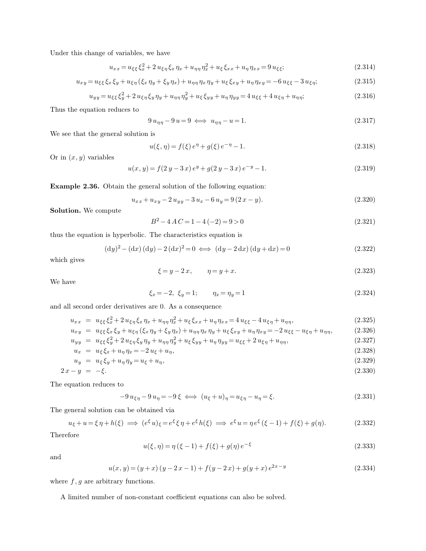Under this change of variables, we have

$$
u_{xx} = u_{\xi\xi} \xi_x^2 + 2 u_{\xi\eta} \xi_x \eta_x + u_{\eta\eta} \eta_x^2 + u_{\xi} \xi_{xx} + u_{\eta} \eta_{xx} = 9 u_{\xi\xi};
$$
\n(2.314)

$$
u_{xy} = u_{\xi\xi} \xi_x \xi_y + u_{\xi\eta} (\xi_x \eta_y + \xi_y \eta_x) + u_{\eta\eta} \eta_x \eta_y + u_{\xi} \xi_{xy} + u_{\eta} \eta_{xy} = -6 u_{\xi\xi} - 3 u_{\xi\eta};
$$
(2.315)

$$
u_{yy} = u_{\xi\xi}\xi_y^2 + 2u_{\xi\eta}\xi_y\eta_y + u_{\eta\eta}\eta_y^2 + u_{\xi}\xi_{yy} + u_{\eta}\eta_{yy} = 4u_{\xi\xi} + 4u_{\xi\eta} + u_{\eta\eta};
$$
\n(2.316)

Thus the equation reduces to

$$
9u_{\eta\eta} - 9u = 9 \iff u_{\eta\eta} - u = 1. \tag{2.317}
$$

We see that the general solution is

$$
u(\xi, \eta) = f(\xi) e^{\eta} + g(\xi) e^{-\eta} - 1.
$$
\n(2.318)

Or in  $(x, y)$  variables

$$
u(x, y) = f(2y - 3x) e^{y} + g(2y - 3x) e^{-y} - 1.
$$
\n(2.319)

**Example 2.36.** Obtain the general solution of the following equation:

$$
u_{xx} + u_{xy} - 2u_{yy} - 3u_x - 6u_y = 9(2x - y).
$$
\n(2.320)

**Solution.** We compute

$$
B^2 - 4AC = 1 - 4(-2) = 9 > 0
$$
\n(2.321)

thus the equation is hyperbolic. The characteristics equation is

$$
(\mathrm{d}y)^{2} - (\mathrm{d}x)(\mathrm{d}y) - 2(\mathrm{d}x)^{2} = 0 \iff (\mathrm{d}y - 2\,\mathrm{d}x)(\mathrm{d}y + \mathrm{d}x) = 0 \tag{2.322}
$$

which gives

$$
\xi = y - 2x, \qquad \eta = y + x. \tag{2.323}
$$

We have

$$
\xi_x = -2, \ \xi_y = 1; \qquad \eta_x = \eta_y = 1 \tag{2.324}
$$

and all second order derivatives are 0. As a consequence

$$
u_{xx} = u_{\xi\xi}\xi_x^2 + 2u_{\xi\eta}\xi_x\eta_x + u_{\eta\eta}\eta_x^2 + u_{\xi}\xi_{xx} + u_{\eta}\eta_{xx} = 4u_{\xi\xi} - 4u_{\xi\eta} + u_{\eta\eta},
$$
(2.325)  
\n
$$
u_{xy} = u_{\xi\xi}\xi_x\xi_y + u_{\xi\eta}(\xi_x\eta_y + \xi_y\eta_x) + u_{\eta\eta}\eta_x\eta_y + u_{\xi}\xi_{xy} + u_{\eta}\eta_{xy} = -2u_{\xi\xi} - u_{\xi\eta} + u_{\eta\eta},
$$
(2.326)  
\n
$$
u_{yy} = u_{\xi\xi}\xi_y^2 + 2u_{\xi\eta}\xi_y\eta_y + u_{\eta\eta}\eta_y^2 + u_{\xi}\xi_{yy} + u_{\eta}\eta_{yy} = u_{\xi\xi} + 2u_{\xi\eta} + u_{\eta\eta},
$$
(2.327)

$$
u_x = u_{\xi} \xi_x + u_{\eta} \eta_x = -2 u_{\xi} + u_{\eta}, \tag{2.328}
$$

$$
u_y = u_{\xi} \xi_y + u_{\eta} \eta_y = u_{\xi} + u_{\eta}, \tag{2.329}
$$

$$
2x - y = -\xi. \tag{2.330}
$$

The equation reduces to

$$
-9u_{\xi\eta} - 9u_{\eta} = -9\xi \iff (u_{\xi} + u)_{\eta} = u_{\xi\eta} - u_{\eta} = \xi.
$$
\n(2.331)

The general solution can be obtained via

$$
u_{\xi} + u = \xi \eta + h(\xi) \implies (e^{\xi} u)_{\xi} = e^{\xi} \xi \eta + e^{\xi} h(\xi) \implies e^{\xi} u = \eta e^{\xi} (\xi - 1) + f(\xi) + g(\eta). \tag{2.332}
$$

Therefore

$$
u(\xi, \eta) = \eta (\xi - 1) + f(\xi) + g(\eta) e^{-\xi}
$$
\n(2.333)

and

$$
u(x, y) = (y + x) (y - 2x - 1) + f(y - 2x) + g(y + x) e^{2x - y}
$$
\n(2.334)

where  $f,g$  are arbitrary functions.

A limited number of non-constant coefficient equations can also be solved.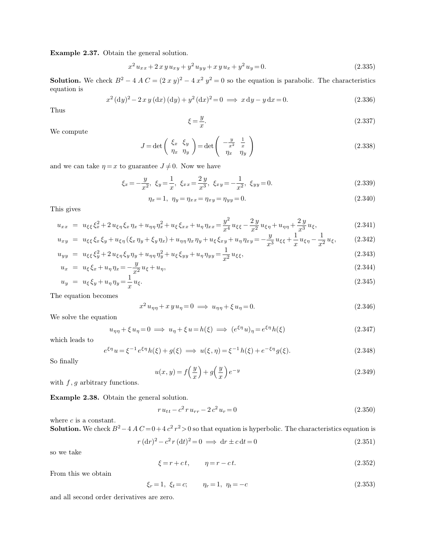**Example 2.37.** Obtain the general solution.

$$
x^{2}u_{xx} + 2xyu_{xy} + y^{2}u_{yy} + xyu_{x} + y^{2}u_{y} = 0.
$$
\n(2.335)

**Solution.** We check  $B^2 - 4A C = (2 x y)^2 - 4 x^2 y^2 = 0$  so the equation is parabolic. The characteristics equation is

$$
x^{2} (dy)^{2} - 2 x y (dx) (dy) + y^{2} (dx)^{2} = 0 \implies x dy - y dx = 0.
$$
 (2.336)

Thus

$$
\xi = \frac{y}{x}.\tag{2.337}
$$

We compute

$$
J = \det\left(\begin{array}{cc} \xi_x & \xi_y \\ \eta_x & \eta_y \end{array}\right) = \det\left(\begin{array}{cc} -\frac{y}{x^2} & \frac{1}{x} \\ \eta_x & \eta_y \end{array}\right) \tag{2.338}
$$

and we can take  $\eta = x$  to guarantee  $J \neq 0$ . Now we have

$$
\xi_x = -\frac{y}{x^2}, \ \xi_y = \frac{1}{x}, \ \xi_{xx} = \frac{2y}{x^3}, \ \xi_{xy} = -\frac{1}{x^2}, \ \xi_{yy} = 0. \tag{2.339}
$$

$$
\eta_x = 1, \ \ \eta_y = \eta_{xx} = \eta_{xy} = \eta_{yy} = 0. \tag{2.340}
$$

This gives

$$
u_{xx} = u_{\xi\xi}\xi_x^2 + 2u_{\xi\eta}\xi_x\eta_x + u_{\eta\eta}\eta_x^2 + u_{\xi}\xi_{xx} + u_{\eta}\eta_{xx} = \frac{y^2}{x^4}u_{\xi\xi} - \frac{2y}{x^2}u_{\xi\eta} + u_{\eta\eta} + \frac{2y}{x^3}u_{\xi},\tag{2.341}
$$

$$
u_{xy} = u_{\xi\xi}\xi_x\xi_y + u_{\xi\eta}(\xi_x\eta_y + \xi_y\eta_x) + u_{\eta\eta}\eta_x\eta_y + u_{\xi}\xi_{xy} + u_{\eta}\eta_{xy} = -\frac{y}{x^3}u_{\xi\xi} + \frac{1}{x}u_{\xi\eta} - \frac{1}{x^2}u_{\xi},
$$
 (2.342)

$$
u_{yy} = u_{\xi\xi}\xi_y^2 + 2u_{\xi\eta}\xi_y\eta_y + u_{\eta\eta}\eta_y^2 + u_{\xi}\xi_{yy} + u_{\eta}\eta_{yy} = \frac{1}{x^2}u_{\xi\xi},
$$
\n(2.343)

$$
u_x = u_{\xi} \xi_x + u_{\eta} \eta_x = -\frac{y}{x^2} u_{\xi} + u_{\eta}, \tag{2.344}
$$

$$
u_y = u_{\xi} \xi_y + u_{\eta} \eta_y = \frac{1}{x} u_{\xi}.
$$
\n(2.345)

The equation becomes

$$
x^2 u_{\eta\eta} + x y u_{\eta} = 0 \implies u_{\eta\eta} + \xi u_{\eta} = 0. \tag{2.346}
$$

We solve the equation

$$
u_{\eta\eta} + \xi u_{\eta} = 0 \implies u_{\eta} + \xi u = h(\xi) \implies (e^{\xi\eta} u)_{\eta} = e^{\xi\eta} h(\xi)
$$
\n(2.347)

which leads to

$$
e^{\xi \eta} u = \xi^{-1} e^{\xi \eta} h(\xi) + g(\xi) \implies u(\xi, \eta) = \xi^{-1} h(\xi) + e^{-\xi \eta} g(\xi).
$$
 (2.348)

So finally

$$
u(x,y) = f\left(\frac{y}{x}\right) + g\left(\frac{y}{x}\right)e^{-y}
$$
\n(2.349)

with  $f, g$  arbitrary functions.

**Example 2.38.** Obtain the general solution.

$$
r u_{tt} - c^2 r u_{rr} - 2 c^2 u_r = 0 \tag{2.350}
$$

where  $c$  is a constant.

**Solution.** We check  $B^2 - 4A C = 0 + 4c^2r^2 > 0$  so that equation is hyperbolic. The characteristics equation is

$$
r (dr)2 - c2 r (dt)2 = 0 \implies dr \pm c dt = 0
$$
 (2.351)

so we take

$$
\xi = r + ct, \qquad \eta = r - ct. \tag{2.352}
$$

From this we obtain

$$
\xi_r = 1, \ \xi_t = c; \qquad \eta_r = 1, \ \eta_t = -c \tag{2.353}
$$

and all second order derivatives are zero.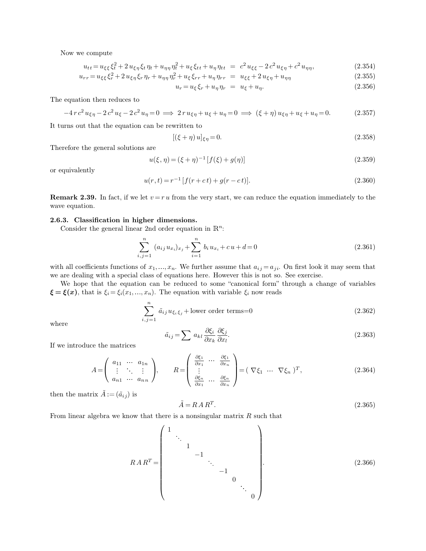Now we compute

$$
u_{tt} = u_{\xi\xi}\xi_t^2 + 2u_{\xi\eta}\xi_t\eta_t + u_{\eta\eta}\eta_t^2 + u_{\xi}\xi_{tt} + u_{\eta}\eta_{tt} = c^2u_{\xi\xi} - 2c^2u_{\xi\eta} + c^2u_{\eta\eta},
$$
\n(2.354)

$$
u_{rr} = u_{\xi\xi} \xi_r^2 + 2 u_{\xi\eta} \xi_r \eta_r + u_{\eta\eta} \eta_r^2 + u_{\xi} \xi_{rr} + u_{\eta} \eta_{rr} = u_{\xi\xi} + 2 u_{\xi\eta} + u_{\eta\eta}
$$
(2.355)

$$
u_r = u_\xi \xi_r + u_\eta \eta_r = u_\xi + u_\eta. \tag{2.356}
$$

The equation then reduces to

$$
-4 r c^2 u_{\xi\eta} - 2 c^2 u_{\xi} - 2 c^2 u_{\eta} = 0 \implies 2 r u_{\xi\eta} + u_{\xi} + u_{\eta} = 0 \implies (\xi + \eta) u_{\xi\eta} + u_{\xi} + u_{\eta} = 0. \tag{2.357}
$$

It turns out that the equation can be rewritten to

$$
[(\xi + \eta) u]_{\xi \eta} = 0. \tag{2.358}
$$

Therefore the general solutions are

$$
u(\xi, \eta) = (\xi + \eta)^{-1} [f(\xi) + g(\eta)] \tag{2.359}
$$

or equivalently

$$
u(r,t) = r^{-1} [f(r+ct) + g(r-ct)].
$$
\n(2.360)

**Remark 2.39.** In fact, if we let  $v = ru$  from the very start, we can reduce the equation immediately to the wave equation.

# **2.6.3. Classification in higher dimensions.**

Consider the general linear 2nd order equation in  $\mathbb{R}^n$ :

$$
\sum_{i,j=1}^{n} (a_{ij} u_{x_i})_{x_j} + \sum_{i=1}^{n} b_i u_{x_i} + c u + d = 0
$$
\n(2.361)

with all coefficients functions of  $x_1, ..., x_n$ . We further assume that  $a_{ij} = a_{ji}$ . On first look it may seem that we are dealing with a special class of equations here. However this is not so. See exercise.

We hope that the equation can be reduced to some "canonical form" through a change of variables  $\xi = \xi(x)$ , that is  $\xi_i = \xi_i(x_1, ..., x_n)$ . The equation with variable  $\xi_i$  now reads

$$
\sum_{i,j=1}^{n} \tilde{a}_{ij} u_{\xi_i \xi_j} + \text{lower order terms} = 0 \tag{2.362}
$$

where

$$
\tilde{a}_{ij} = \sum a_{kl} \frac{\partial \xi_i}{\partial x_k} \frac{\partial \xi_j}{\partial x_l}.
$$
\n(2.363)

If we introduce the matrices

$$
A = \begin{pmatrix} a_{11} & \cdots & a_{1n} \\ \vdots & \ddots & \vdots \\ a_{n1} & \cdots & a_{nn} \end{pmatrix}, \qquad R = \begin{pmatrix} \frac{\partial \xi_1}{\partial x_1} & \cdots & \frac{\partial \xi_1}{\partial x_n} \\ \vdots & \vdots \\ \frac{\partial \xi_n}{\partial x_1} & \cdots & \frac{\partial \xi_n}{\partial x_n} \end{pmatrix} = (\nabla \xi_1 \cdots \nabla \xi_n)^T, \qquad (2.364)
$$

then the matrix  $\tilde{A} := (\tilde{a}_{ij})$  is

$$
\tilde{A} = R A R^T. \tag{2.365}
$$

From linear algebra we know that there is a nonsingular matrix  $R$  such that

$$
RAR^{T} = \begin{pmatrix} 1 & & & & & & \\ & \ddots & & & & & \\ & & 1 & & & & \\ & & & -1 & & & \\ & & & & 0 & & \\ & & & & & \ddots & \\ & & & & & & 0 \end{pmatrix}
$$
 (2.366)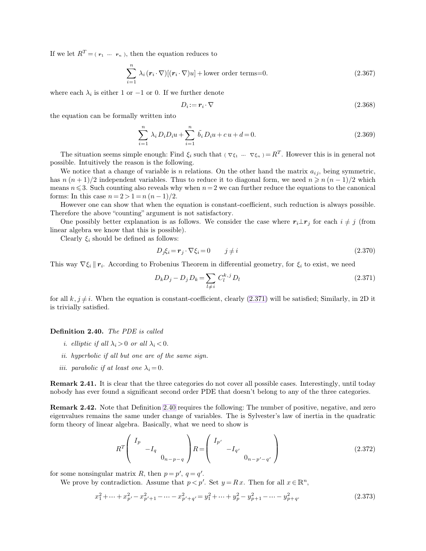If we let  $R^T = (r_1 - r_n)$ , then the equation reduces to

<span id="page-30-1"></span>
$$
\sum_{i=1}^{n} \lambda_i (\mathbf{r}_i \cdot \nabla) [(\mathbf{r}_i \cdot \nabla) u] + \text{lower order terms} = 0. \tag{2.367}
$$

where each  $\lambda_i$  is either 1 or -1 or 0. If we further denote

<span id="page-30-0"></span>
$$
D_i := \mathbf{r}_i \cdot \nabla \tag{2.368}
$$

the equation can be formally written into

$$
\sum_{i=1}^{n} \lambda_i D_i D_i u + \sum_{i=1}^{n} \tilde{b}_i D_i u + c u + d = 0.
$$
 (2.369)

The situation seems simple enough: Find  $\xi_i$  such that ( $\nabla \xi_1 - \nabla \xi_n = R^T$ . However this is in general not possible. Intuitively the reason is the following.

We notice that a change of variable is n relations. On the other hand the matrix  $a_{ij}$ , being symmetric, has  $n (n + 1)/2$  independent variables. Thus to reduce it to diagonal form, we need  $n \geq n (n - 1)/2$  which means  $n \leq 3$ . Such counting also reveals why when  $n=2$  we can further reduce the equations to the canonical forms: In this case  $n = 2 > 1 = n(n-1)/2$ .

However one can show that when the equation is constant-coefficient, such reduction is always possible. Therefore the above "counting" argument is not satisfactory.

One possibly better explanation is as follows. We consider the case where  $r_i \perp r_j$  for each  $i \neq j$  (from linear algebra we know that this is possible).

Clearly  $\xi_i$  should be defined as follows:

$$
D_j \xi_i = \mathbf{r}_j \cdot \nabla \xi_i = 0 \qquad j \neq i \tag{2.370}
$$

This way  $\nabla \xi_i \parallel \mathbf{r}_i$ . According to Frobenius Theorem in differential geometry, for  $\xi_i$  to exist, we need

$$
D_k D_j - D_j D_k = \sum_{l \neq i} C_l^{k,j} D_l
$$
\n(2.371)

for all  $k, j \neq i$ . When the equation is constant-coefficient, clearly [\(2.371\)](#page-30-0) will be satisfied; Similarly, in 2D it is trivially satisfied.

#### **Definition 2.40.** *The PDE is called*

- *i. elliptic if all*  $\lambda_i > 0$  *or all*  $\lambda_i < 0$ *.*
- *ii. hyperbolic if all but one are of the same sign.*
- *iii.* parabolic if at least one  $\lambda_i = 0$ .

**Remark 2.41.** It is clear that the three categories do not cover all possible cases. Interestingly, until today nobody has ever found a significant second order PDE that doesn't belong to any of the three categories.

**Remark 2.42.** Note that Definition [2.40](#page-30-1) requires the following: The number of positive, negative, and zero eigenvalues remains the same under change of variables. The is Sylvester's law of inertia in the quadratic form theory of linear algebra. Basically, what we need to show is

$$
R^{T} \left( \begin{array}{cc} I_{p} & & \\ & -I_{q} & \\ & & 0_{n-p-q} \end{array} \right) R = \left( \begin{array}{cc} I_{p'} & & \\ & -I_{q'} & \\ & & 0_{n-p'-q'} \end{array} \right) \tag{2.372}
$$

for some nonsingular matrix R, then  $p = p'$ ,  $q = q'$ .

We prove by contradiction. Assume that  $p < p'$ . Set  $y = Rx$ . Then for all  $x \in \mathbb{R}^n$ ,

$$
x_1^2 + \dots + x_{p'}^2 - x_{p'+1}^2 - \dots - x_{p'+q'}^2 = y_1^2 + \dots + y_p^2 - y_{p+1}^2 - \dots - y_{p+q}^2. \tag{2.373}
$$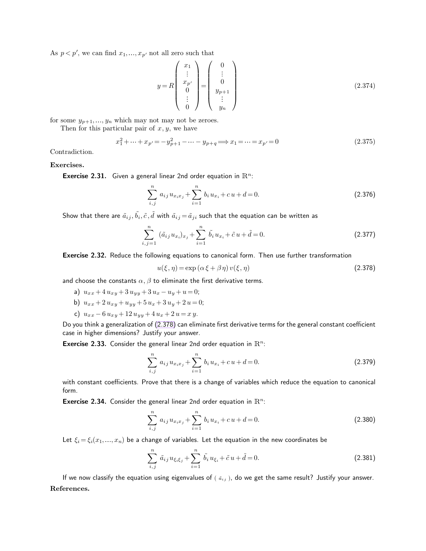As  $p < p'$ , we can find  $x_1, \ldots, x_{p'}$  not all zero such that

<span id="page-31-0"></span>
$$
y = R \begin{pmatrix} x_1 \\ \vdots \\ x_{p'} \\ 0 \\ \vdots \\ 0 \end{pmatrix} = \begin{pmatrix} 0 \\ \vdots \\ 0 \\ y_{p+1} \\ \vdots \\ y_n \end{pmatrix}
$$
 (2.374)

for some  $y_{p+1},..., y_n$  which may not may not be zeroes.

Then for this particular pair of  $x, y$ , we have

$$
x_1^2 + \dots + x_{p'} = -y_{p+1}^2 - \dots - y_{p+q} \Longrightarrow x_1 = \dots = x_{p'} = 0
$$
\n(2.375)

Contradiction.

# **Exercises.**

**Exercise 2.31.** Given a general linear 2nd order equation in  $\mathbb{R}^n$ :

$$
\sum_{i,j}^{n} a_{ij} u_{x_i x_j} + \sum_{i=1}^{n} b_i u_{x_i} + c u + d = 0.
$$
 (2.376)

Show that there are  $\tilde{a}_{ij}, \tilde{b}_i, \tilde{c}, \tilde{d}$  with  $\tilde{a}_{ij} \!=\! \tilde{a}_{ji}$  such that the equation can be written as

$$
\sum_{i,j=1}^{n} (\tilde{a}_{ij} u_{x_i})_{x_j} + \sum_{i=1}^{n} \tilde{b}_i u_{x_i} + \tilde{c} u + \tilde{d} = 0.
$$
 (2.377)

Exercise 2.32. Reduce the following equations to canonical form. Then use further transformation

$$
u(\xi, \eta) = \exp\left(\alpha \xi + \beta \eta\right) v(\xi, \eta) \tag{2.378}
$$

and choose the constants  $\alpha, \beta$  to eliminate the first derivative terms.

- a)  $u_{xx} + 4 u_{xy} + 3 u_{yy} + 3 u_x u_y + u = 0;$
- b)  $u_{xx} + 2 u_{xy} + u_{yy} + 5 u_x + 3 u_y + 2 u = 0;$
- c)  $u_{xx} 6 u_{xy} + 12 u_{yy} + 4 u_x + 2 u = xy$ .

Do you think a generalization of [\(2.378\)](#page-31-0) can eliminate first derivative terms for the general constant coefficient case in higher dimensions? Justify your answer.

**Exercise 2.33.** Consider the general linear 2nd order equation in  $\mathbb{R}^n$ :

$$
\sum_{i,j}^{n} a_{ij} u_{x_i x_j} + \sum_{i=1}^{n} b_i u_{x_i} + c u + d = 0.
$$
 (2.379)

with constant coefficients. Prove that there is a change of variables which reduce the equation to canonical form.

**Exercise 2.34.** Consider the general linear 2nd order equation in  $\mathbb{R}^n$ :

$$
\sum_{i,j}^{n} a_{ij} u_{x_i x_j} + \sum_{i=1}^{n} b_i u_{x_i} + c u + d = 0.
$$
 (2.380)

Let  $\xi_i = \xi_i(x_1, ..., x_n)$  be a change of variables. Let the equation in the new coordinates be

$$
\sum_{i,j}^{n} \tilde{a}_{ij} u_{\xi_i \xi_j} + \sum_{i=1}^{n} \tilde{b}_i u_{\xi_i} + \tilde{c} u + \tilde{d} = 0.
$$
 (2.381)

If we now classify the equation using eigenvalues of (  $\tilde{a}_{ij}$  ), do we get the same result? Justify your answer. **References.**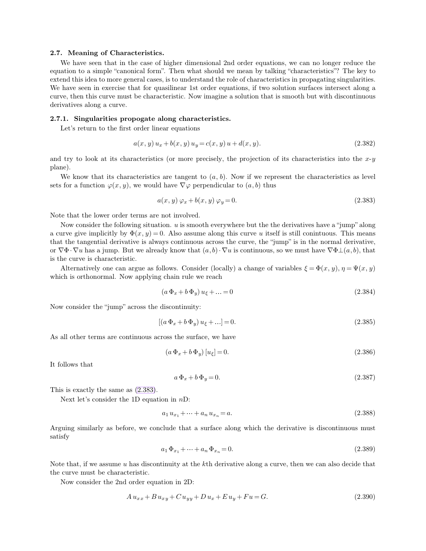# **2.7. Meaning of Characteristics.**

We have seen that in the case of higher dimensional 2nd order equations, we can no longer reduce the equation to a simple "canonical form". Then what should we mean by talking "characteristics"? The key to extend this idea to more general cases, is to understand the role of characteristics in propagating singularities. We have seen in exercise that for quasilinear 1st order equations, if two solution surfaces intersect along a curve, then this curve must be characteristic. Now imagine a solution that is smooth but with discontinuous derivatives along a curve.

#### **2.7.1. Singularities propogate along characteristics.**

Let's return to the first order linear equations

<span id="page-32-0"></span>
$$
a(x, y) u_x + b(x, y) u_y = c(x, y) u + d(x, y).
$$
\n(2.382)

and try to look at its characteristics (or more precisely, the projection of its characteristics into the  $x-y$ plane).

We know that its characteristics are tangent to  $(a, b)$ . Now if we represent the characteristics as level sets for a function  $\varphi(x, y)$ , we would have  $\nabla \varphi$  perpendicular to  $(a, b)$  thus

$$
a(x, y) \varphi_x + b(x, y) \varphi_y = 0. \tag{2.383}
$$

Note that the lower order terms are not involved.

Now consider the following situation.  $u$  is smooth everywhere but the the derivatives have a "jump" along a curve give implicitly by  $\Phi(x, y) = 0$ . Also assume along this curve u itself is still conintuous. This means that the tangential derivative is always continuous across the curve, the "jump" is in the normal derivative, or  $\nabla \Phi \cdot \nabla u$  has a jump. But we already know that  $(a,b) \cdot \nabla u$  is continuous, so we must have  $\nabla \Phi \perp (a,b)$ , that is the curve is characteristic.

Alternatively one can argue as follows. Consider (locally) a change of variables  $\xi = \Phi(x, y), \eta = \Psi(x, y)$ which is orthonormal. Now applying chain rule we reach

$$
(a\,\Phi_x + b\,\Phi_y)\,u_{\xi} + \dots = 0\tag{2.384}
$$

Now consider the "jump" across the discontinuity:

$$
[(a\,\Phi_x + b\,\Phi_y)\,u_{\xi} + \ldots] = 0.\tag{2.385}
$$

As all other terms are continuous across the surface, we have

$$
(a\,\Phi_x + b\,\Phi_y)\,[u_\xi] = 0.\tag{2.386}
$$

It follows that

$$
a\,\Phi_x + b\,\Phi_y = 0.\tag{2.387}
$$

This is exactly the same as [\(2.383\)](#page-32-0).

Next let's consider the 1D equation in nD:

$$
a_1 u_{x_1} + \dots + a_n u_{x_n} = a. \tag{2.388}
$$

Arguing similarly as before, we conclude that a surface along which the derivative is discontinuous must satisfy

$$
a_1 \Phi_{x_1} + \dots + a_n \Phi_{x_n} = 0. \tag{2.389}
$$

Note that, if we assume u has discontinuity at the kth derivative along a curve, then we can also decide that the curve must be characteristic.

Now consider the 2nd order equation in 2D:

$$
A u_{xx} + B u_{xy} + C u_{yy} + D u_x + E u_y + F u = G.
$$
\n(2.390)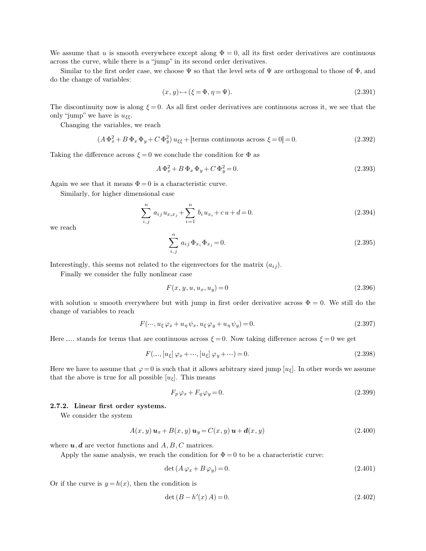We assume that u is smooth everywhere except along  $\Phi = 0$ , all its first order derivatives are continuous across the curve, while there is a "jump" in its second order derivatives.

Similar to the first order case, we choose  $\Psi$  so that the level sets of  $\Psi$  are orthogonal to those of  $\Phi$ , and do the change of variables:

$$
(x, y) \mapsto (\xi = \Phi, \eta = \Psi). \tag{2.391}
$$

The discontinuity now is along  $\xi = 0$ . As all first order derivatives are continuous across it, we see that the only "jump" we have is  $u_{\xi\xi}$ .

Changing the variables, we reach

$$
(A\Phi_x^2 + B\Phi_x\Phi_y + C\Phi_y^2)u_{\xi\xi} + \text{[terms continuous across } \xi = 0] = 0. \tag{2.392}
$$

Taking the difference across  $\xi = 0$  we conclude the condition for  $\Phi$  as

$$
A\Phi_x^2 + B\Phi_x\Phi_y + C\Phi_y^2 = 0.
$$
\n(2.393)

Again we see that it means  $\Phi = 0$  is a characteristic curve.

Similarly, for higher dimensional case

$$
\sum_{i,j}^{n} a_{ij} u_{x_i x_j} + \sum_{i=1}^{n} b_i u_{x_i} + c u + d = 0.
$$
 (2.394)

we reach

$$
\sum_{i,j}^{n} a_{ij} \Phi_{x_i} \Phi_{x_j} = 0.
$$
 (2.395)

Interestingly, this seems not related to the eigenvectors for the matrix  $(a_{ij})$ .

Finally we consider the fully nonlinear case

$$
F(x, y, u, u_x, u_y) = 0 \t\t(2.396)
$$

with solution u smooth everywhere but with jump in first order derivative across  $\Phi = 0$ . We still do the change of variables to reach

$$
F(\cdots, u_{\xi}\varphi_x + u_{\eta}\psi_x, u_{\xi}\varphi_y + u_{\eta}\psi_y) = 0.
$$
\n(2.397)

Here .... stands for terms that are continuous across  $\xi = 0$ . Now taking difference across  $\xi = 0$  we get

$$
F(\ldots, [u_{\xi}] \varphi_x + \cdots, [u_{\xi}] \varphi_y + \cdots) = 0.
$$
\n(2.398)

Here we have to assume that  $\varphi = 0$  is such that it allows arbitrary sized jump  $[u_{\xi}]$ . In other words we assume that the above is true for all possible  $[u<sub>\epsilon</sub>]$ . This means

$$
F_p \varphi_x + F_q \varphi_y = 0. \tag{2.399}
$$

# **2.7.2. Linear first order systems.**

We consider the system

$$
A(x, y) \mathbf{u}_x + B(x, y) \mathbf{u}_y = C(x, y) \mathbf{u} + \mathbf{d}(x, y)
$$
\n
$$
(2.400)
$$

where  $u, d$  are vector functions and  $A, B, C$  matrices.

Apply the same analysis, we reach the condition for  $\Phi = 0$  to be a characteristic curve:

$$
\det\left(A\,\varphi_x + B\,\varphi_y\right) = 0.\tag{2.401}
$$

Or if the curve is  $y = h(x)$ , then the condition is

$$
\det(B - h'(x) A) = 0. \tag{2.402}
$$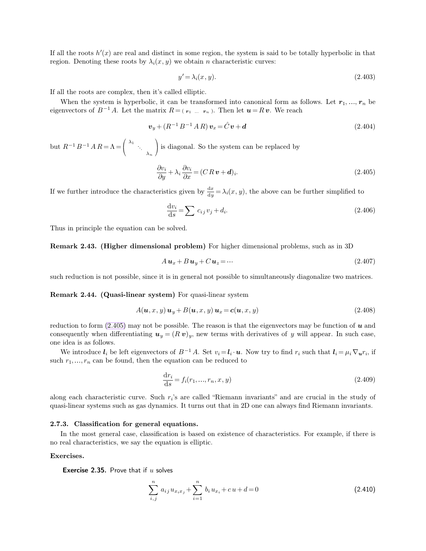If all the roots  $h'(x)$  are real and distinct in some region, the system is said to be totally hyperbolic in that region. Denoting these roots by  $\lambda_i(x, y)$  we obtain *n* characteristic curves:

<span id="page-34-0"></span>
$$
y' = \lambda_i(x, y). \tag{2.403}
$$

If all the roots are complex, then it's called elliptic.

When the system is hyperbolic, it can be transformed into canonical form as follows. Let  $r_1, ..., r_n$  be eigenvectors of  $B^{-1}A$ . Let the matrix  $R = (r_1 \dots r_n)$ . Then let  $u = R v$ . We reach

$$
\boldsymbol{v}_y + (R^{-1}B^{-1}AR)\,\boldsymbol{v}_x = \hat{C}\,\boldsymbol{v} + \boldsymbol{d} \tag{2.404}
$$

but  $R^{-1}B^{-1}A R = \Lambda =$  $\mathcal{L}$  $\lambda_1$ <br> $\ddots$ <br> $\lambda_n$ ) is diagonal. So the system can be replaced by

$$
\frac{\partial v_i}{\partial y} + \lambda_i \frac{\partial v_i}{\partial x} = (C R v + d)_i.
$$
\n(2.405)

If we further introduce the characteristics given by  $\frac{dx}{dy} = \lambda_i(x, y)$ , the above can be further simplified to

$$
\frac{\mathrm{d}v_i}{\mathrm{d}s} = \sum c_{ij}v_j + d_i. \tag{2.406}
$$

Thus in principle the equation can be solved.

**Remark 2.43. (Higher dimensional problem)** For higher dimensional problems, such as in 3D

$$
A\mathbf{u}_x + B\mathbf{u}_y + C\mathbf{u}_z = \cdots \tag{2.407}
$$

such reduction is not possible, since it is in general not possible to simultaneously diagonalize two matrices.

**Remark 2.44. (Quasi-linear system)** For quasi-linear system

$$
A(\mathbf{u}, x, y) \mathbf{u}_y + B(\mathbf{u}, x, y) \mathbf{u}_x = c(\mathbf{u}, x, y)
$$
\n(2.408)

reduction to form  $(2.405)$  may not be possible. The reason is that the eigenvectors may be function of u and consequently when differentiating  $u_y = (R v)_y$ , new terms with derivatives of y will appear. In such case, one idea is as follows.

We introduce  $l_i$  be left eigenvectors of  $B^{-1}A$ . Set  $v_i = l_i \cdot u$ . Now try to find  $r_i$  such that  $l_i = \mu_i \nabla_u r_i$ , if such  $r_1, \ldots, r_n$  can be found, then the equation can be reduced to

$$
\frac{dr_i}{ds} = f_i(r_1, ..., r_n, x, y)
$$
\n(2.409)

along each characteristic curve. Such  $r_i$ 's are called "Riemann invariants" and are crucial in the study of quasi-linear systems such as gas dynamics. It turns out that in 2D one can always find Riemann invariants.

### **2.7.3. Classification for general equations.**

In the most general case, classification is based on existence of characteristics. For example, if there is no real characteristics, we say the equation is elliptic.

#### **Exercises.**

**Exercise 2.35.** Prove that if  $u$  solves

$$
\sum_{i,j}^{n} a_{ij} u_{x_i x_j} + \sum_{i=1}^{n} b_i u_{x_i} + c u + d = 0
$$
\n(2.410)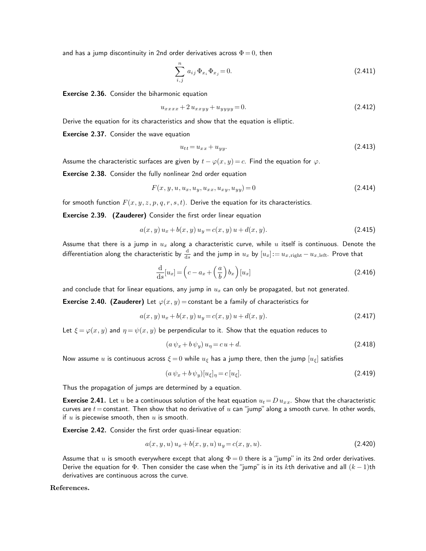and has a jump discontinuity in 2nd order derivatives across  $\Phi = 0$ , then

$$
\sum_{i,j}^{n} a_{ij} \Phi_{x_i} \Phi_{x_j} = 0.
$$
 (2.411)

Exercise 2.36. Consider the biharmonic equation

$$
u_{xxxx} + 2u_{xxyy} + u_{yyyy} = 0.
$$
\n(2.412)

Derive the equation for its characteristics and show that the equation is elliptic.

Exercise 2.37. Consider the wave equation

$$
u_{tt} = u_{xx} + u_{yy}.\tag{2.413}
$$

Assume the characteristic surfaces are given by  $t - \varphi(x, y) = c$ . Find the equation for  $\varphi$ .

Exercise 2.38. Consider the fully nonlinear 2nd order equation

$$
F(x, y, u, u_x, u_y, u_{xx}, u_{xy}, u_{yy}) = 0
$$
\n(2.414)

for smooth function  $F(x, y, z, p, q, r, s, t)$ . Derive the equation for its characteristics.

Exercise 2.39. (Zauderer) Consider the first order linear equation

$$
a(x, y) u_x + b(x, y) u_y = c(x, y) u + d(x, y).
$$
\n(2.415)

Assume that there is a jump in  $u_x$  along a characteristic curve, while  $u$  itself is continuous. Denote the differentiation along the characteristic by  $\frac{\rm d}{{\rm d}s}$  and the jump in  $u_x$  by  $[u_x]:=u_{x,{\rm right}}-u_{x,{\rm left}}.$  Prove that

$$
\frac{\mathrm{d}}{\mathrm{d}s}[u_x] = \left(c - a_x + \left(\frac{a}{b}\right)b_x\right)[u_x] \tag{2.416}
$$

and conclude that for linear equations, any jump in  $u_x$  can only be propagated, but not generated.

**Exercise 2.40. (Zauderer)** Let  $\varphi(x, y) =$  constant be a family of characteristics for

$$
a(x, y) u_x + b(x, y) u_y = c(x, y) u + d(x, y).
$$
\n(2.417)

Let  $\xi = \varphi(x, y)$  and  $\eta = \psi(x, y)$  be perpendicular to it. Show that the equation reduces to

$$
(a\,\psi_x + b\,\psi_y)\,u_\eta = c\,u + d.\tag{2.418}
$$

Now assume u is continuous across  $\xi = 0$  while  $u_{\xi}$  has a jump there, then the jump  $[u_{\xi}]$  satisfies

$$
(a\,\psi_x + b\,\psi_y)[u_\xi]_\eta = c\,[u_\xi].\tag{2.419}
$$

Thus the propagation of jumps are determined by a equation.

**Exercise 2.41.** Let u be a continuous solution of the heat equation  $u_t = D u_{xx}$ . Show that the characteristic curves are  $t=$  constant. Then show that no derivative of  $u$  can "jump" along a smooth curve. In other words, if  $u$  is piecewise smooth, then  $u$  is smooth.

Exercise 2.42. Consider the first order quasi-linear equation:

$$
a(x, y, u) u_x + b(x, y, u) u_y = c(x, y, u).
$$
\n(2.420)

Assume that u is smooth everywhere except that along  $\Phi = 0$  there is a "jump" in its 2nd order derivatives. Derive the equation for  $\Phi$ . Then consider the case when the "jump" is in its kth derivative and all  $(k-1)$ th derivatives are continuous across the curve.

**References.**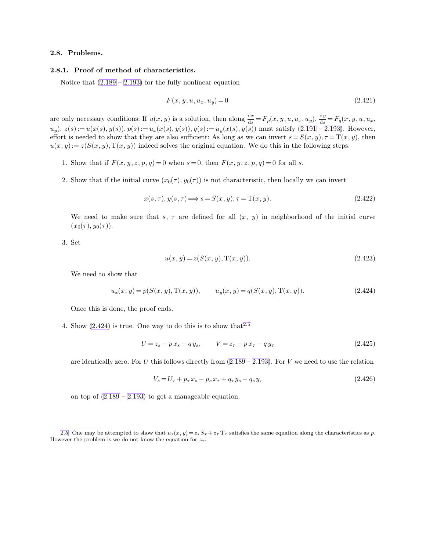# **2.8. Problems.**

# **2.8.1. Proof of method of characteristics.**

Notice that  $(2.189 - 2.193)$  $(2.189 - 2.193)$  $(2.189 - 2.193)$  for the fully nonlinear equation

<span id="page-36-2"></span><span id="page-36-1"></span>
$$
F(x, y, u, u_x, u_y) = 0 \t\t(2.421)
$$

are only necessary conditions: If  $u(x, y)$  is a solution, then along  $\frac{dx}{ds} = F_p(x, y, u, u_x, u_y)$ ,  $\frac{dy}{ds}$  $\frac{dy}{ds} = F_q(x, y, u, u_x,$  $u_y$ ,  $z(s) := u(x(s), y(s))$ ,  $p(s) := u_x(x(s), y(s))$ ,  $q(s) := u_y(x(s), y(s))$  must satisfy [\(2.191](#page-18-3) – [2.193\)](#page-18-2). However, effort is needed to show that they are also sufficient: As long as we can invert  $s = S(x, y), \tau = T(x, y)$ , then  $u(x, y) = z(S(x, y), T(x, y))$  indeed solves the original equation. We do this in the following steps.

- 1. Show that if  $F(x, y, z, p, q) = 0$  when  $s = 0$ , then  $F(x, y, z, p, q) = 0$  for all s.
- 2. Show that if the initial curve  $(x_0(\tau), y_0(\tau))$  is not characteristic, then locally we can invert

$$
x(s,\tau), y(s,\tau) \Longrightarrow s = S(x,y), \tau = T(x,y). \tag{2.422}
$$

We need to make sure that s,  $\tau$  are defined for all  $(x, y)$  in neighborhood of the initial curve  $(x_0(\tau), y_0(\tau)).$ 

3. Set

<span id="page-36-0"></span>
$$
u(x, y) = z(S(x, y), T(x, y)).
$$
\n(2.423)

We need to show that

$$
u_x(x, y) = p(S(x, y), T(x, y)), \qquad u_y(x, y) = q(S(x, y), T(x, y)). \tag{2.424}
$$

Once this is done, the proof ends.

4. Show  $(2.424)$  is true. One way to do this is to show that  $2.5$ 

$$
U = z_s - p x_s - q y_s, \qquad V = z_\tau - p x_\tau - q y_\tau \tag{2.425}
$$

are identically zero. For U this follows directly from  $(2.189 - 2.193)$  $(2.189 - 2.193)$  $(2.189 - 2.193)$ . For V we need to use the relation

$$
V_s = U_\tau + p_\tau x_s - p_s x_\tau + q_\tau y_s - q_s y_\tau \tag{2.426}
$$

on top of  $(2.189 - 2.193)$  $(2.189 - 2.193)$  $(2.189 - 2.193)$  to get a manageable equation.

[<sup>2.5.</sup>](#page-36-2) One may be attempted to show that  $u_x(x, y) = z_s S_x + z_\tau T_x$  satisfies the same equation along the characteristics as p. However the problem is we do not know the equation for  $z_{\tau}$ .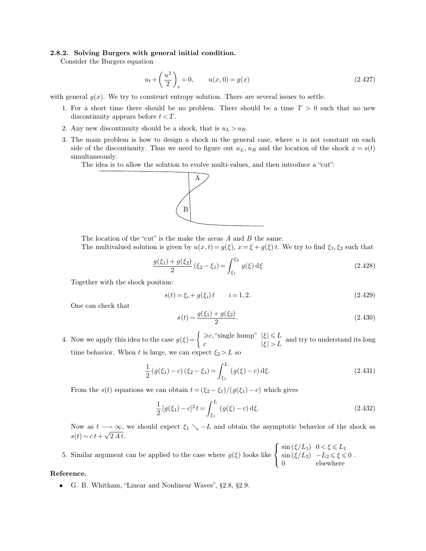# **2.8.2. Solving Burgers with general initial condition.**

Consider the Burgers equation

$$
u_t + \left(\frac{u^2}{2}\right)_x = 0, \qquad u(x,0) = g(x) \tag{2.427}
$$

with general  $g(x)$ . We try to construct entropy solution. There are several issues to settle.

- 1. For a short time there should be no problem. There should be a time  $T > 0$  such that no new discontinuity appears before  $t < T$ .
- 2. Any new discontinuity should be a shock, that is  $u_L > u_R$ .
- 3. The main problem is how to design a shock in the general case, where  $u$  is not constant on each side of the discontinuity. Thus we need to figure out  $u<sub>L</sub>$ ,  $u<sub>R</sub>$  and the location of the shock  $x = s(t)$ simultaneously.

The idea is to allow the solution to evolve multi-values, and then introduce a "cut":



The location of the "cut" is the make the areas A and B the same.

The multivalued solution is given by  $u(x,t) = g(\xi)$ ,  $x = \xi + g(\xi)t$ . We try to find  $\xi_1, \xi_2$  such that

$$
\frac{g(\xi_1) + g(\xi_2)}{2} (\xi_2 - \xi_1) = \int_{\xi_1}^{\xi_2} g(\xi) \,d\xi \tag{2.428}
$$

Together with the shock position:

$$
s(t) = \xi_i + g(\xi_i)t \qquad i = 1, 2. \tag{2.429}
$$

One can check that

$$
\dot{s}(t) = \frac{g(\xi_1) + g(\xi_2)}{2}.\tag{2.430}
$$

4. Now we apply this idea to the case  $g(\xi) = \begin{cases} \geqslant c, \text{``single hump''} \mid \xi \mid \leqslant L \\ c & \mid \xi \mid > L \end{cases}$  and try to understand its long time behavior. When t is large, we can expect  $\xi_2 > L$  so

$$
\frac{1}{2}(g(\xi_1) - c)(\xi_2 - \xi_1) = \int_{\xi_1}^{L} (g(\xi) - c) d\xi.
$$
\n(2.431)

From the s(t) equations we can obtain  $t = (\xi_2 - \xi_1)/(g(\xi_1) - c)$  which gives

$$
\frac{1}{2}[g(\xi_1) - c]^2 t = \int_{\xi_1}^L (g(\xi) - c) d\xi.
$$
\n(2.432)

Now as  $t \rightarrow \infty$ , we should expect  $\xi_1 \searrow -L$  and obtain the asymptotic behavior of the shock as  $s(t) \sim ct + \sqrt{2 A t}.$ 

5. Similar argument can be applied to the case where  $g(\xi)$  looks like  $\sqrt{ }$ J  $\mathcal{L}$  $\sin(\xi/L_1)$   $0 < \xi \le L_1$  $\sin (\xi/L_2)$  –  $L_2 \le \xi \le 0$ 0 elsewhere .

# **Reference.**

• G. B. Whitham, "Linear and Nonlinear Waves", §2.8, §2.9.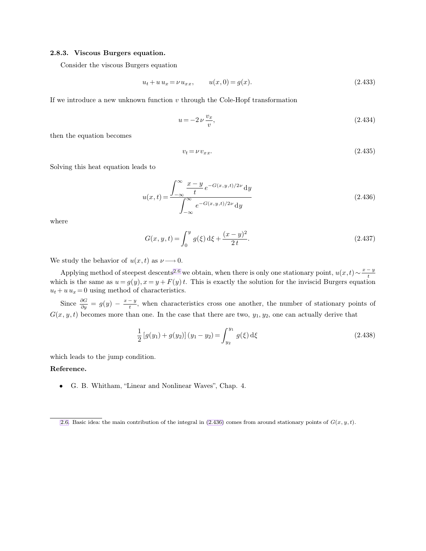## **2.8.3. Viscous Burgers equation.**

Consider the viscous Burgers equation

<span id="page-38-0"></span>
$$
u_t + u u_x = \nu u_{xx}, \qquad u(x,0) = g(x). \tag{2.433}
$$

If we introduce a new unknown function  $v$  through the Cole-Hopf transformation

<span id="page-38-1"></span>
$$
u = -2\,\nu\,\frac{v_x}{v},\tag{2.434}
$$

then the equation becomes

$$
v_t = \nu v_{xx}.\tag{2.435}
$$

Solving this heat equation leads to

$$
u(x,t) = \frac{\int_{-\infty}^{\infty} \frac{x - y}{t} e^{-G(x,y,t)/2\nu} dy}{\int_{-\infty}^{\infty} e^{-G(x,y,t)/2\nu} dy}
$$
(2.436)

where

$$
G(x, y, t) = \int_0^y g(\xi) d\xi + \frac{(x - y)^2}{2t}.
$$
 (2.437)

We study the behavior of  $u(x, t)$  as  $\nu \longrightarrow 0$ .

Applying method of steepest descents<sup>2.6</sup> we obtain, when there is only one stationary point,  $u(x,t) \sim \frac{x-y}{t}$ t which is the same as  $u = g(y)$ ,  $x = y + F(y) t$ . This is exactly the solution for the inviscid Burgers equation  $u_t + u u_x = 0$  using method of characteristics.

Since  $\frac{\partial G}{\partial y} = g(y) - \frac{x-y}{t}$  $\frac{y-y}{t}$ , when characteristics cross one another, the number of stationary points of  $G(x, y, t)$  becomes more than one. In the case that there are two,  $y_1, y_2$ , one can actually derive that

$$
\frac{1}{2} [g(y_1) + g(y_2)] (y_1 - y_2) = \int_{y_2}^{y_1} g(\xi) d\xi
$$
\n(2.438)

which leads to the jump condition.

**Reference.**

• G. B. Whitham, "Linear and Nonlinear Waves", Chap. 4.

[<sup>2.6.</sup>](#page-38-0) Basic idea: the main contribution of the integral in  $(2.436)$  comes from around stationary points of  $G(x, y, t)$ .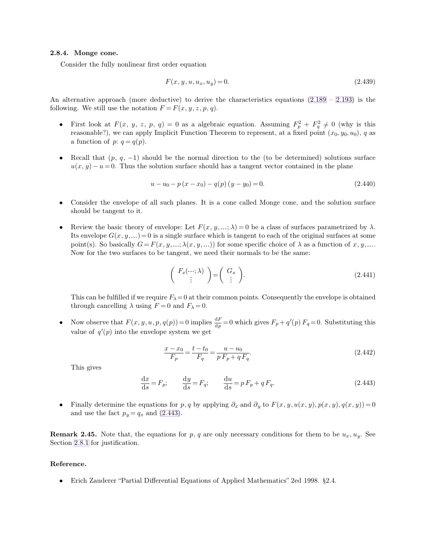# **2.8.4. Monge cone.**

Consider the fully nonlinear first order equation

<span id="page-39-1"></span>
$$
F(x, y, u, u_x, u_y) = 0.
$$
\n(2.439)

An alternative approach (more deductive) to derive the characteristics equations  $(2.189 - 2.193)$  $(2.189 - 2.193)$  $(2.189 - 2.193)$  is the following. We still use the notation  $F = F(x, y, z, p, q)$ .

- First look at  $F(x, y, z, p, q) = 0$  as a algebraic equation. Assuming  $F_p^2 + F_q^2 \neq 0$  (why is this reasonable?), we can apply Implicit Function Theorem to represent, at a fixed point  $(x_0, y_0, u_0)$ , q as a function of  $p: q = q(p)$ .
- Recall that  $(p, q, -1)$  should be the normal direction to the (to be determined) solutions surface  $u(x, y) - u = 0$ . Thus the solution surface should has a tangent vector contained in the plane

$$
u - u_0 - p(x - x_0) - q(p)(y - y_0) = 0.
$$
\n(2.440)

- Consider the envelope of all such planes. It is a cone called Monge cone, and the solution surface should be tangent to it.
- Review the basic theory of envelope: Let  $F(x, y, \ldots; \lambda) = 0$  be a class of surfaces parametrized by  $\lambda$ . Its envelope  $G(x, y, ...)$  = 0 is a single surface which is tangent to each of the original surfaces at some point(s). So basically  $G = F(x, y, ..., \lambda(x, y, ...))$  for some specific choice of  $\lambda$  as a function of x, y, ... Now for the two surfaces to be tangent, we need their normals to be the same:

$$
\left(\begin{array}{c} F_x(\cdots;\lambda) \\ \vdots \end{array}\right) = \left(\begin{array}{c} G_x \\ \vdots \end{array}\right). \tag{2.441}
$$

This can be fulfilled if we require  $F_{\lambda}=0$  at their common points. Consequently the envelope is obtained through cancelling  $\lambda$  using  $F = 0$  and  $F_{\lambda} = 0$ .

• Now observe that  $F(x, y, u, p, q(p)) = 0$  implies  $\frac{dF}{dp} = 0$  which gives  $F_p + q'(p) F_q = 0$ . Substituting this value of  $q'(p)$  into the envelope system we get

<span id="page-39-0"></span>
$$
\frac{x - x_0}{F_p} = \frac{t - t_0}{F_q} = \frac{u - u_0}{p F_p + q F_q}.
$$
\n(2.442)

This gives

$$
\frac{\mathrm{d}x}{\mathrm{d}s} = F_p; \qquad \frac{\mathrm{d}y}{\mathrm{d}s} = F_q; \qquad \frac{\mathrm{d}u}{\mathrm{d}s} = p F_p + q F_q. \tag{2.443}
$$

• Finally determine the equations for p, q by applying  $\partial_x$  and  $\partial_y$  to  $F(x, y, u(x, y), p(x, y), q(x, y)) = 0$ and use the fact  $p_y = q_x$  and [\(2.443\)](#page-39-1).

**Remark 2.45.** Note that, the equations for p, q are only necessary conditions for them to be  $u_x, u_y$ . See Section [2.8.1](#page-36-0) for justification.

#### **Reference.**

• Erich Zauderer "Partial Differential Equations of Applied Mathematics" 2ed 1998. §2.4.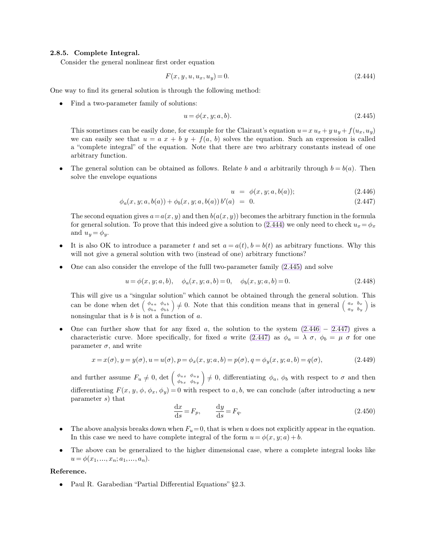# **2.8.5. Complete Integral.**

Consider the general nonlinear first order equation

$$
F(x, y, u, u_x, u_y) = 0.
$$
\n(2.444)

One way to find its general solution is through the following method:

• Find a two-parameter family of solutions:

$$
u = \phi(x, y; a, b). \tag{2.445}
$$

This sometimes can be easily done, for example for the Clairaut's equation  $u=x u_x+y u_y+f(u_x,u_y)$ we can easily see that  $u = a x + b y + f(a, b)$  solves the equation. Such an expression is called a "complete integral" of the equation. Note that there are two arbitrary constants instead of one arbitrary function.

The general solution can be obtained as follows. Relate b and a arbitrarily through  $b = b(a)$ . Then solve the envelope equations

<span id="page-40-3"></span><span id="page-40-2"></span><span id="page-40-1"></span><span id="page-40-0"></span>
$$
u = \phi(x, y; a, b(a)); \tag{2.446}
$$

$$
\phi_a(x, y; a, b(a)) + \phi_b(x, y; a, b(a)) b'(a) = 0. \qquad (2.447)
$$

The second equation gives  $a=a(x,y)$  and then  $b(a(x,y))$  becomes the arbitrary function in the formula for general solution. To prove that this indeed give a solution to [\(2.444\)](#page-40-0) we only need to check  $u_x = \phi_x$ and  $u_y = \phi_y$ .

- It is also OK to introduce a parameter t and set  $a = a(t)$ ,  $b = b(t)$  as arbitrary functions. Why this will not give a general solution with two (instead of one) arbitrary functions?
- One can also consider the envelope of the fulll two-parameter family [\(2.445\)](#page-40-1) and solve

$$
u = \phi(x, y; a, b), \quad \phi_a(x, y; a, b) = 0, \quad \phi_b(x, y; a, b) = 0.
$$
\n(2.448)

This will give us a "singular solution" which cannot be obtained through the general solution. This can be done when  $\det\begin{pmatrix} \phi_{aa} & \phi_{ab} \\ \phi_{ba} & \phi_{bb} \end{pmatrix} \neq 0$ . Note that this condition means that in general  $\begin{pmatrix} a_x & b_x \\ a_y & b_y \end{pmatrix}$ a<sup>y</sup> b<sup>y</sup>  $\big)$  is nonsingular that is  $b$  is not a function of  $a$ .

One can further show that for any fixed a, the solution to the system  $(2.446 - 2.447)$  $(2.446 - 2.447)$  $(2.446 - 2.447)$  $(2.446 - 2.447)$  $(2.446 - 2.447)$  gives a characteristic curve. More specifically, for fixed a write [\(2.447\)](#page-40-3) as  $\phi_a = \lambda \sigma$ ,  $\phi_b = \mu \sigma$  for one parameter  $\sigma$ , and write

$$
x = x(\sigma), y = y(\sigma), u = u(\sigma), p = \phi_x(x, y; a, b) = p(\sigma), q = \phi_y(x, y; a, b) = q(\sigma),
$$
\n(2.449)

and further assume  $F_u \neq 0$ , det  $\begin{pmatrix} \phi_{ax} & \phi_{ay} \\ \phi_{bx} & \phi_{by} \end{pmatrix} \neq 0$ , differentiating  $\phi_a$ ,  $\phi_b$  with respect to  $\sigma$  and then differentiating  $F(x, y, \phi, \phi_x, \phi_y) = 0$  with respect to a, b, we can conclude (after introducting a new parameter s) that

$$
\frac{\mathrm{d}x}{\mathrm{d}s} = F_p, \qquad \frac{\mathrm{d}y}{\mathrm{d}s} = F_q. \tag{2.450}
$$

- The above analysis breaks down when  $F_u=0$ , that is when u does not explicitly appear in the equation. In this case we need to have complete integral of the form  $u = \phi(x, y; a) + b$ .
- The above can be generalized to the higher dimensional case, where a complete integral looks like  $u = \phi(x_1, \ldots, x_n; a_1, \ldots, a_n).$

#### **Reference.**

• Paul R. Garabedian "Partial Differential Equations" §2.3.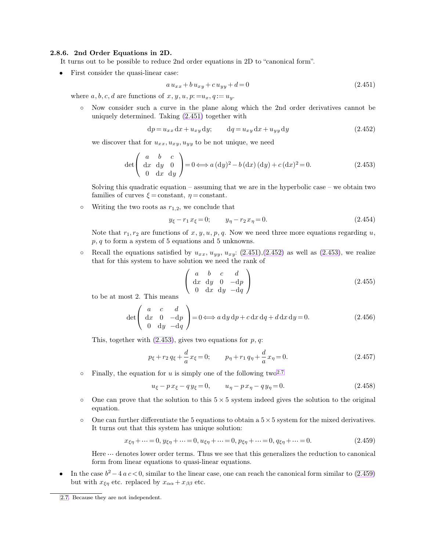## **2.8.6. 2nd Order Equations in 2D.**

It turns out to be possible to reduce 2nd order equations in 2D to "canonical form".

• First consider the quasi-linear case:

<span id="page-41-4"></span><span id="page-41-3"></span><span id="page-41-2"></span><span id="page-41-1"></span>
$$
a u_{xx} + b u_{xy} + c u_{yy} + d = 0 \tag{2.451}
$$

where  $a, b, c, d$  are functions of  $x, y, u, p := u_x, q := u_y$ .

◦ Now consider such a curve in the plane along which the 2nd order derivatives cannot be uniquely determined. Taking [\(2.451\)](#page-41-0) together with

$$
dp = u_{xx} dx + u_{xy} dy; \t dq = u_{xy} dx + u_{yy} dy \t (2.452)
$$

we discover that for  $u_{xx}, u_{xy}, u_{yy}$  to be not unique, we need

$$
\det\left(\begin{array}{cc} a & b & c \\ \mathrm{d}x & \mathrm{d}y & 0 \\ 0 & \mathrm{d}x & \mathrm{d}y \end{array}\right) = 0 \Longleftrightarrow a\left(\mathrm{d}y\right)^2 - b\left(\mathrm{d}x\right)\left(\mathrm{d}y\right) + c\left(\mathrm{d}x\right)^2 = 0. \tag{2.453}
$$

Solving this quadratic equation – assuming that we are in the hyperbolic case – we obtain two families of curves  $\xi$  = constant,  $\eta$  = constant.

 $\circ$  Writing the two roots as  $r_{1,2}$ , we conclude that

$$
y_{\xi} - r_1 x_{\xi} = 0; \qquad y_{\eta} - r_2 x_{\eta} = 0. \tag{2.454}
$$

Note that  $r_1, r_2$  are functions of x, y, u, p, q. Now we need three more equations regarding u,  $p, q$  to form a system of 5 equations and 5 unknowns.

• Recall the equations satisfied by  $u_{xx}$ ,  $u_{yy}$ ,  $u_{xy}$ : [\(2.451\)](#page-41-0),[\(2.452\)](#page-41-1) as well as [\(2.453\)](#page-41-2), we realize that for this system to have solution we need the rank of

<span id="page-41-0"></span>
$$
\left(\begin{array}{cccc} a & b & c & d \\ \mathrm{d}x & \mathrm{d}y & 0 & -\mathrm{d}p \\ 0 & \mathrm{d}x & \mathrm{d}y & -\mathrm{d}q \end{array}\right) \tag{2.455}
$$

to be at most 2. This means

$$
\det \left( \begin{array}{ccc} a & c & d \\ \mathrm{d}x & 0 & -\mathrm{d}p \\ 0 & \mathrm{d}y & -\mathrm{d}q \end{array} \right) = 0 \Longleftrightarrow a \, \mathrm{d}y \, \mathrm{d}p + c \, \mathrm{d}x \, \mathrm{d}q + d \, \mathrm{d}x \, \mathrm{d}y = 0. \tag{2.456}
$$

This, together with  $(2.453)$ , gives two equations for p, q:

$$
p_{\xi} + r_2 q_{\xi} + \frac{d}{a} x_{\xi} = 0; \qquad p_{\eta} + r_1 q_{\eta} + \frac{d}{a} x_{\eta} = 0.
$$
 (2.457)

• Finally, the equation for u is simply one of the following two<sup>2.7</sup>

$$
u_{\xi} - p x_{\xi} - q y_{\xi} = 0, \qquad u_{\eta} - p x_{\eta} - q y_{\eta} = 0. \tag{2.458}
$$

- $\circ$  One can prove that the solution to this  $5 \times 5$  system indeed gives the solution to the original equation.
- $\circ$  One can further differentiate the 5 equations to obtain a  $5 \times 5$  system for the mixed derivatives. It turns out that this system has unique solution:

$$
x_{\xi\eta} + \dots = 0, y_{\xi\eta} + \dots = 0, u_{\xi\eta} + \dots = 0, p_{\xi\eta} + \dots = 0, q_{\xi\eta} + \dots = 0.
$$
\n(2.459)

Here  $\cdots$  denotes lower order terms. Thus we see that this generalizes the reduction to canonical form from linear equations to quasi-linear equations.

• In the case  $b^2 - 4a c < 0$ , similar to the linear case, one can reach the canonical form similar to [\(2.459\)](#page-41-3) but with  $x_{\xi\eta}$  etc. replaced by  $x_{\alpha\alpha} + x_{\beta\beta}$  etc.

[<sup>2.7.</sup>](#page-41-4) Because they are not independent.